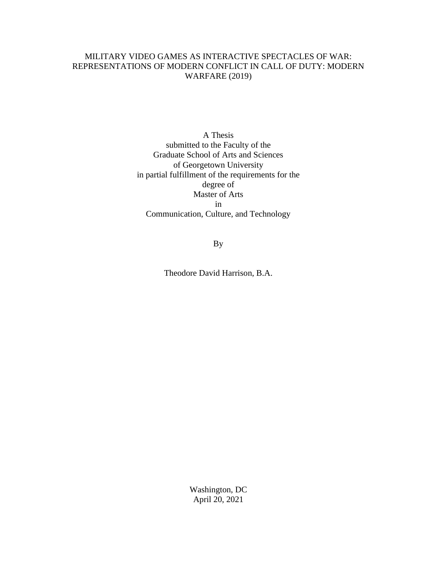# MILITARY VIDEO GAMES AS INTERACTIVE SPECTACLES OF WAR: REPRESENTATIONS OF MODERN CONFLICT IN CALL OF DUTY: MODERN WARFARE (2019)

A Thesis submitted to the Faculty of the Graduate School of Arts and Sciences of Georgetown University in partial fulfillment of the requirements for the degree of Master of Arts in Communication, Culture, and Technology

By

Theodore David Harrison, B.A.

Washington, DC April 20, 2021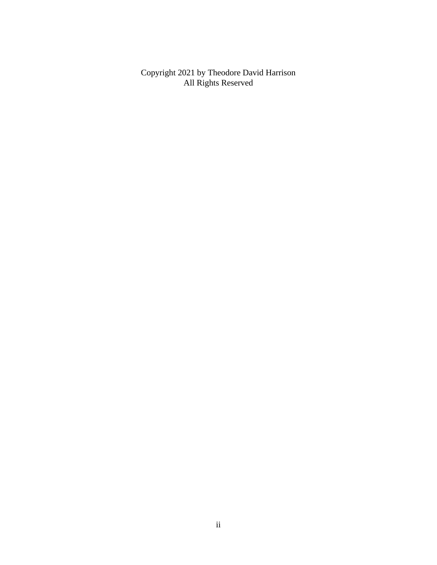Copyright 2021 by Theodore David Harrison All Rights Reserved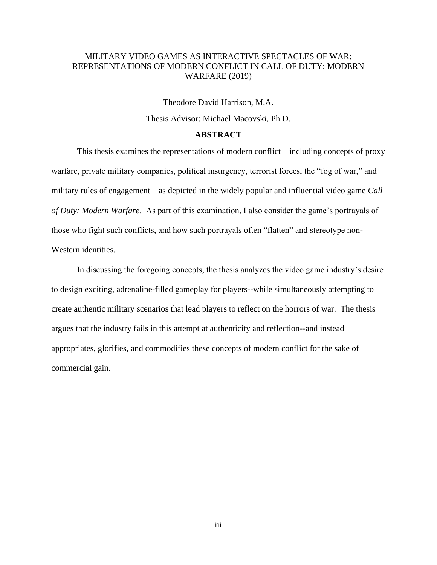# MILITARY VIDEO GAMES AS INTERACTIVE SPECTACLES OF WAR: REPRESENTATIONS OF MODERN CONFLICT IN CALL OF DUTY: MODERN WARFARE (2019)

Theodore David Harrison, M.A. Thesis Advisor: Michael Macovski, Ph.D.

# **ABSTRACT**

This thesis examines the representations of modern conflict – including concepts of proxy warfare, private military companies, political insurgency, terrorist forces, the "fog of war," and military rules of engagement—as depicted in the widely popular and influential video game *Call of Duty: Modern Warfare*. As part of this examination, I also consider the game's portrayals of those who fight such conflicts, and how such portrayals often "flatten" and stereotype non-Western identities.

In discussing the foregoing concepts, the thesis analyzes the video game industry's desire to design exciting, adrenaline-filled gameplay for players--while simultaneously attempting to create authentic military scenarios that lead players to reflect on the horrors of war. The thesis argues that the industry fails in this attempt at authenticity and reflection--and instead appropriates, glorifies, and commodifies these concepts of modern conflict for the sake of commercial gain.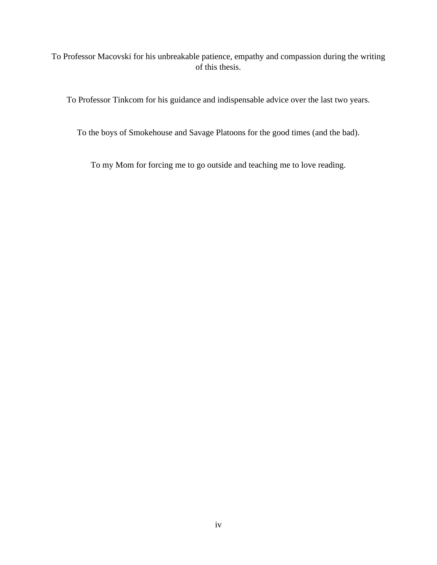To Professor Macovski for his unbreakable patience, empathy and compassion during the writing of this thesis.

To Professor Tinkcom for his guidance and indispensable advice over the last two years.

To the boys of Smokehouse and Savage Platoons for the good times (and the bad).

To my Mom for forcing me to go outside and teaching me to love reading.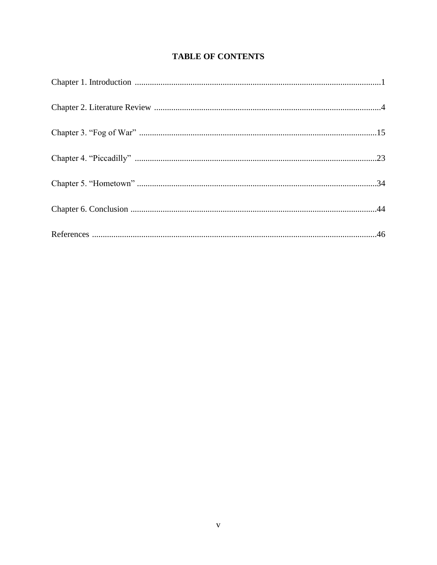# **TABLE OF CONTENTS**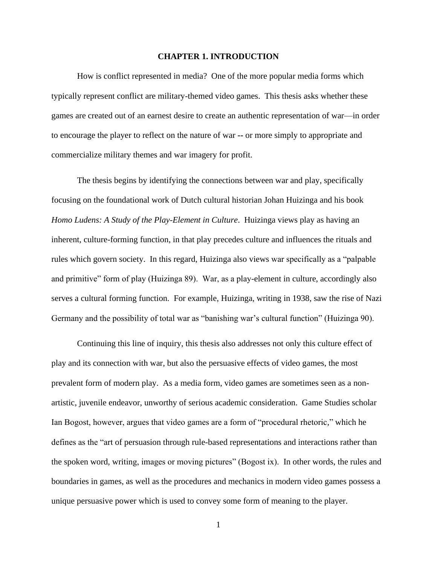#### **CHAPTER 1. INTRODUCTION**

How is conflict represented in media? One of the more popular media forms which typically represent conflict are military-themed video games. This thesis asks whether these games are created out of an earnest desire to create an authentic representation of war—in order to encourage the player to reflect on the nature of war **--** or more simply to appropriate and commercialize military themes and war imagery for profit.

The thesis begins by identifying the connections between war and play, specifically focusing on the foundational work of Dutch cultural historian Johan Huizinga and his book *Homo Ludens: A Study of the Play-Element in Culture*. Huizinga views play as having an inherent, culture-forming function, in that play precedes culture and influences the rituals and rules which govern society. In this regard, Huizinga also views war specifically as a "palpable and primitive" form of play (Huizinga 89). War, as a play-element in culture, accordingly also serves a cultural forming function. For example, Huizinga, writing in 1938, saw the rise of Nazi Germany and the possibility of total war as "banishing war's cultural function" (Huizinga 90).

Continuing this line of inquiry, this thesis also addresses not only this culture effect of play and its connection with war, but also the persuasive effects of video games, the most prevalent form of modern play. As a media form, video games are sometimes seen as a nonartistic, juvenile endeavor, unworthy of serious academic consideration. Game Studies scholar Ian Bogost, however, argues that video games are a form of "procedural rhetoric," which he defines as the "art of persuasion through rule-based representations and interactions rather than the spoken word, writing, images or moving pictures" (Bogost ix). In other words, the rules and boundaries in games, as well as the procedures and mechanics in modern video games possess a unique persuasive power which is used to convey some form of meaning to the player.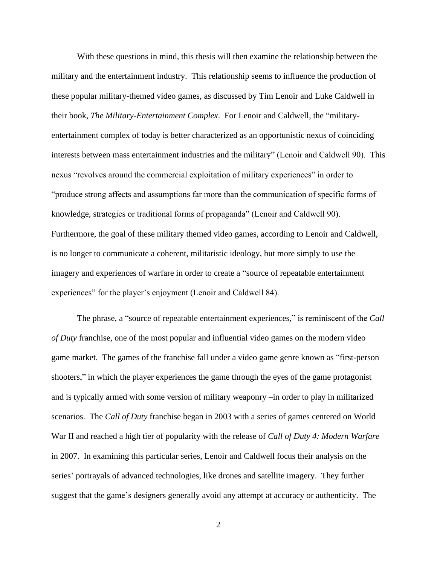With these questions in mind, this thesis will then examine the relationship between the military and the entertainment industry. This relationship seems to influence the production of these popular military-themed video games, as discussed by Tim Lenoir and Luke Caldwell in their book, *The Military-Entertainment Complex*. For Lenoir and Caldwell, the "militaryentertainment complex of today is better characterized as an opportunistic nexus of coinciding interests between mass entertainment industries and the military" (Lenoir and Caldwell 90). This nexus "revolves around the commercial exploitation of military experiences" in order to "produce strong affects and assumptions far more than the communication of specific forms of knowledge, strategies or traditional forms of propaganda" (Lenoir and Caldwell 90). Furthermore, the goal of these military themed video games, according to Lenoir and Caldwell, is no longer to communicate a coherent, militaristic ideology, but more simply to use the imagery and experiences of warfare in order to create a "source of repeatable entertainment experiences" for the player's enjoyment (Lenoir and Caldwell 84).

The phrase, a "source of repeatable entertainment experiences," is reminiscent of the *Call of Duty* franchise, one of the most popular and influential video games on the modern video game market. The games of the franchise fall under a video game genre known as "first-person shooters," in which the player experiences the game through the eyes of the game protagonist and is typically armed with some version of military weaponry –in order to play in militarized scenarios. The *Call of Duty* franchise began in 2003 with a series of games centered on World War II and reached a high tier of popularity with the release of *Call of Duty 4: Modern Warfare* in 2007. In examining this particular series, Lenoir and Caldwell focus their analysis on the series' portrayals of advanced technologies, like drones and satellite imagery. They further suggest that the game's designers generally avoid any attempt at accuracy or authenticity. The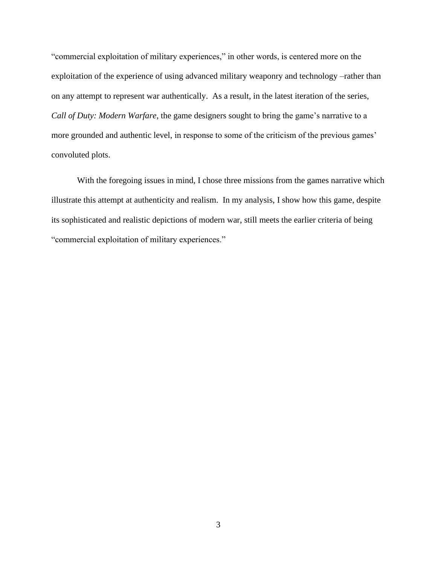"commercial exploitation of military experiences," in other words, is centered more on the exploitation of the experience of using advanced military weaponry and technology –rather than on any attempt to represent war authentically. As a result, in the latest iteration of the series, *Call of Duty: Modern Warfare*, the game designers sought to bring the game's narrative to a more grounded and authentic level, in response to some of the criticism of the previous games' convoluted plots.

With the foregoing issues in mind, I chose three missions from the games narrative which illustrate this attempt at authenticity and realism. In my analysis, I show how this game, despite its sophisticated and realistic depictions of modern war, still meets the earlier criteria of being "commercial exploitation of military experiences."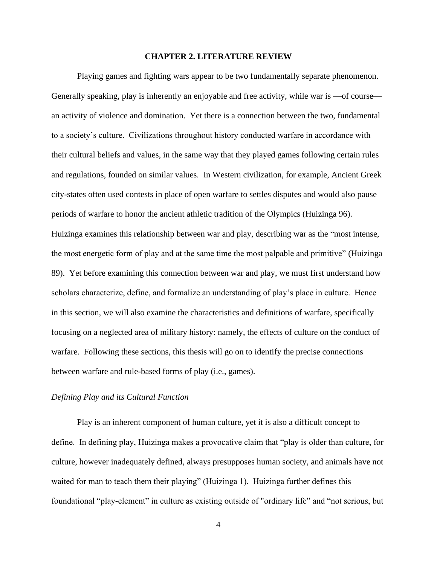#### **CHAPTER 2. LITERATURE REVIEW**

Playing games and fighting wars appear to be two fundamentally separate phenomenon. Generally speaking, play is inherently an enjoyable and free activity, while war is —of course an activity of violence and domination. Yet there is a connection between the two, fundamental to a society's culture. Civilizations throughout history conducted warfare in accordance with their cultural beliefs and values, in the same way that they played games following certain rules and regulations, founded on similar values. In Western civilization, for example, Ancient Greek city-states often used contests in place of open warfare to settles disputes and would also pause periods of warfare to honor the ancient athletic tradition of the Olympics (Huizinga 96). Huizinga examines this relationship between war and play, describing war as the "most intense, the most energetic form of play and at the same time the most palpable and primitive" (Huizinga 89). Yet before examining this connection between war and play, we must first understand how scholars characterize, define, and formalize an understanding of play's place in culture. Hence in this section, we will also examine the characteristics and definitions of warfare, specifically focusing on a neglected area of military history: namely, the effects of culture on the conduct of warfare. Following these sections, this thesis will go on to identify the precise connections between warfare and rule-based forms of play (i.e., games).

#### *Defining Play and its Cultural Function*

Play is an inherent component of human culture, yet it is also a difficult concept to define. In defining play, Huizinga makes a provocative claim that "play is older than culture, for culture, however inadequately defined, always presupposes human society, and animals have not waited for man to teach them their playing" (Huizinga 1). Huizinga further defines this foundational "play-element" in culture as existing outside of "ordinary life" and "not serious, but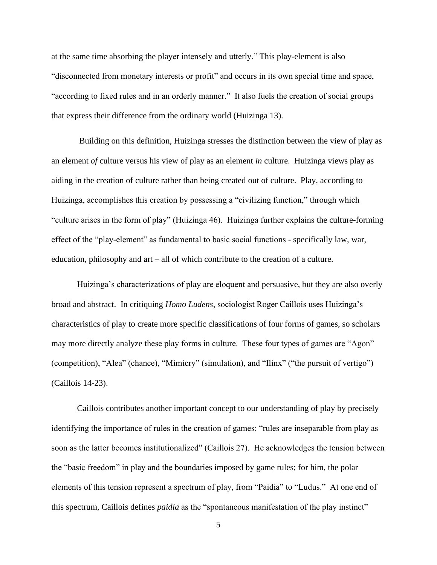at the same time absorbing the player intensely and utterly." This play-element is also "disconnected from monetary interests or profit" and occurs in its own special time and space, "according to fixed rules and in an orderly manner." It also fuels the creation of social groups that express their difference from the ordinary world (Huizinga 13).

Building on this definition, Huizinga stresses the distinction between the view of play as an element *of* culture versus his view of play as an element *in* culture. Huizinga views play as aiding in the creation of culture rather than being created out of culture. Play, according to Huizinga, accomplishes this creation by possessing a "civilizing function," through which "culture arises in the form of play" (Huizinga 46). Huizinga further explains the culture-forming effect of the "play-element" as fundamental to basic social functions - specifically law, war, education, philosophy and art – all of which contribute to the creation of a culture.

Huizinga's characterizations of play are eloquent and persuasive, but they are also overly broad and abstract. In critiquing *Homo Ludens*, sociologist Roger Caillois uses Huizinga's characteristics of play to create more specific classifications of four forms of games, so scholars may more directly analyze these play forms in culture. These four types of games are "Agon" (competition), "Alea" (chance), "Mimicry" (simulation), and "Ilinx" ("the pursuit of vertigo") (Caillois 14-23).

Caillois contributes another important concept to our understanding of play by precisely identifying the importance of rules in the creation of games: "rules are inseparable from play as soon as the latter becomes institutionalized" (Caillois 27). He acknowledges the tension between the "basic freedom" in play and the boundaries imposed by game rules; for him, the polar elements of this tension represent a spectrum of play, from "Paidia" to "Ludus." At one end of this spectrum, Caillois defines *paidia* as the "spontaneous manifestation of the play instinct"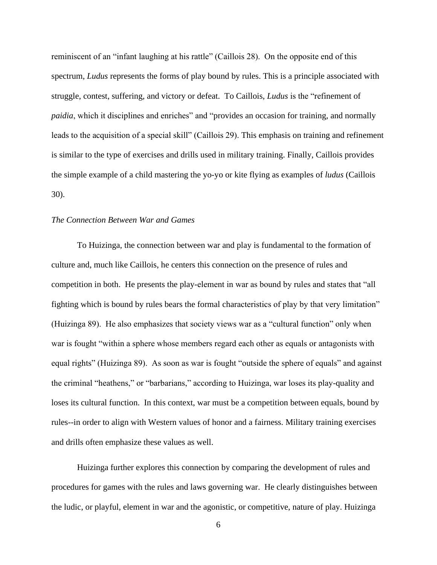reminiscent of an "infant laughing at his rattle" (Caillois 28). On the opposite end of this spectrum, *Ludus* represents the forms of play bound by rules. This is a principle associated with struggle, contest, suffering, and victory or defeat. To Caillois, *Ludus* is the "refinement of *paidia*, which it disciplines and enriches" and "provides an occasion for training, and normally leads to the acquisition of a special skill" (Caillois 29). This emphasis on training and refinement is similar to the type of exercises and drills used in military training. Finally, Caillois provides the simple example of a child mastering the yo-yo or kite flying as examples of *ludus* (Caillois 30).

# *The Connection Between War and Games*

To Huizinga, the connection between war and play is fundamental to the formation of culture and, much like Caillois, he centers this connection on the presence of rules and competition in both. He presents the play-element in war as bound by rules and states that "all fighting which is bound by rules bears the formal characteristics of play by that very limitation" (Huizinga 89). He also emphasizes that society views war as a "cultural function" only when war is fought "within a sphere whose members regard each other as equals or antagonists with equal rights" (Huizinga 89). As soon as war is fought "outside the sphere of equals" and against the criminal "heathens," or "barbarians," according to Huizinga, war loses its play-quality and loses its cultural function. In this context, war must be a competition between equals, bound by rules--in order to align with Western values of honor and a fairness. Military training exercises and drills often emphasize these values as well.

Huizinga further explores this connection by comparing the development of rules and procedures for games with the rules and laws governing war. He clearly distinguishes between the ludic, or playful, element in war and the agonistic, or competitive, nature of play. Huizinga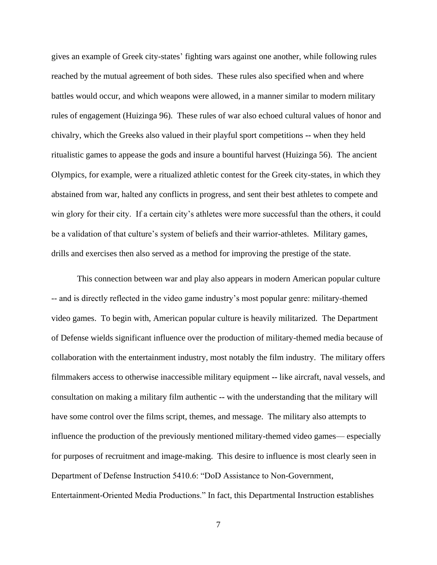gives an example of Greek city-states' fighting wars against one another, while following rules reached by the mutual agreement of both sides. These rules also specified when and where battles would occur, and which weapons were allowed, in a manner similar to modern military rules of engagement (Huizinga 96). These rules of war also echoed cultural values of honor and chivalry, which the Greeks also valued in their playful sport competitions **--** when they held ritualistic games to appease the gods and insure a bountiful harvest (Huizinga 56). The ancient Olympics, for example, were a ritualized athletic contest for the Greek city-states, in which they abstained from war, halted any conflicts in progress, and sent their best athletes to compete and win glory for their city. If a certain city's athletes were more successful than the others, it could be a validation of that culture's system of beliefs and their warrior-athletes. Military games, drills and exercises then also served as a method for improving the prestige of the state.

This connection between war and play also appears in modern American popular culture -- and is directly reflected in the video game industry's most popular genre: military-themed video games. To begin with, American popular culture is heavily militarized. The Department of Defense wields significant influence over the production of military-themed media because of collaboration with the entertainment industry, most notably the film industry. The military offers filmmakers access to otherwise inaccessible military equipment **--** like aircraft, naval vessels, and consultation on making a military film authentic **--** with the understanding that the military will have some control over the films script, themes, and message. The military also attempts to influence the production of the previously mentioned military-themed video games— especially for purposes of recruitment and image-making. This desire to influence is most clearly seen in Department of Defense Instruction 5410.6: "DoD Assistance to Non-Government, Entertainment-Oriented Media Productions." In fact, this Departmental Instruction establishes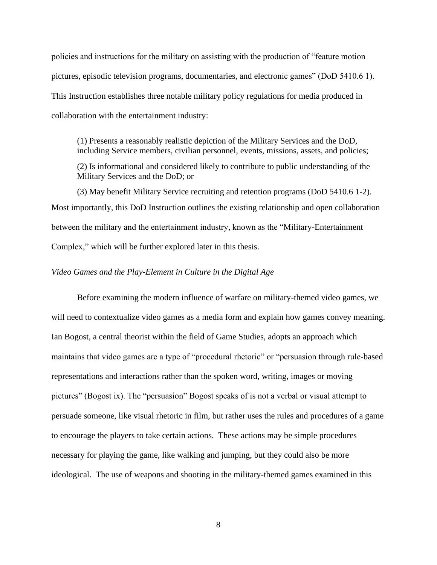policies and instructions for the military on assisting with the production of "feature motion pictures, episodic television programs, documentaries, and electronic games" (DoD 5410.6 1). This Instruction establishes three notable military policy regulations for media produced in collaboration with the entertainment industry:

(1) Presents a reasonably realistic depiction of the Military Services and the DoD, including Service members, civilian personnel, events, missions, assets, and policies;

(2) Is informational and considered likely to contribute to public understanding of the Military Services and the DoD; or

(3) May benefit Military Service recruiting and retention programs (DoD 5410.6 1-2). Most importantly, this DoD Instruction outlines the existing relationship and open collaboration between the military and the entertainment industry, known as the "Military-Entertainment Complex," which will be further explored later in this thesis.

# *Video Games and the Play-Element in Culture in the Digital Age*

Before examining the modern influence of warfare on military-themed video games, we will need to contextualize video games as a media form and explain how games convey meaning. Ian Bogost, a central theorist within the field of Game Studies, adopts an approach which maintains that video games are a type of "procedural rhetoric" or "persuasion through rule-based representations and interactions rather than the spoken word, writing, images or moving pictures" (Bogost ix). The "persuasion" Bogost speaks of is not a verbal or visual attempt to persuade someone, like visual rhetoric in film, but rather uses the rules and procedures of a game to encourage the players to take certain actions. These actions may be simple procedures necessary for playing the game, like walking and jumping, but they could also be more ideological. The use of weapons and shooting in the military-themed games examined in this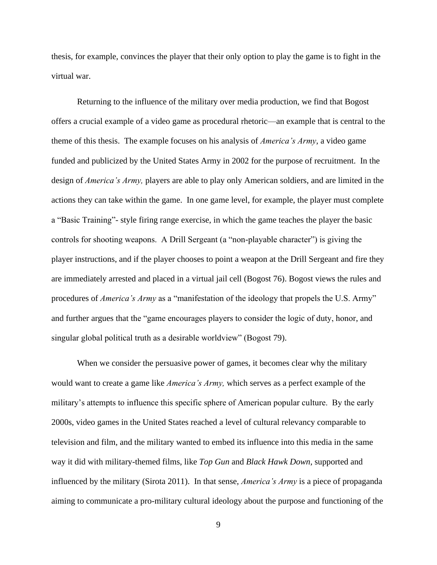thesis, for example, convinces the player that their only option to play the game is to fight in the virtual war.

Returning to the influence of the military over media production, we find that Bogost offers a crucial example of a video game as procedural rhetoric—an example that is central to the theme of this thesis. The example focuses on his analysis of *America's Army*, a video game funded and publicized by the United States Army in 2002 for the purpose of recruitment. In the design of *America's Army,* players are able to play only American soldiers, and are limited in the actions they can take within the game. In one game level, for example, the player must complete a "Basic Training"- style firing range exercise, in which the game teaches the player the basic controls for shooting weapons. A Drill Sergeant (a "non-playable character") is giving the player instructions, and if the player chooses to point a weapon at the Drill Sergeant and fire they are immediately arrested and placed in a virtual jail cell (Bogost 76). Bogost views the rules and procedures of *America's Army* as a "manifestation of the ideology that propels the U.S. Army" and further argues that the "game encourages players to consider the logic of duty, honor, and singular global political truth as a desirable worldview" (Bogost 79).

When we consider the persuasive power of games, it becomes clear why the military would want to create a game like *America's Army,* which serves as a perfect example of the military's attempts to influence this specific sphere of American popular culture. By the early 2000s, video games in the United States reached a level of cultural relevancy comparable to television and film, and the military wanted to embed its influence into this media in the same way it did with military-themed films, like *Top Gun* and *Black Hawk Down*, supported and influenced by the military (Sirota 2011). In that sense, *America's Army* is a piece of propaganda aiming to communicate a pro-military cultural ideology about the purpose and functioning of the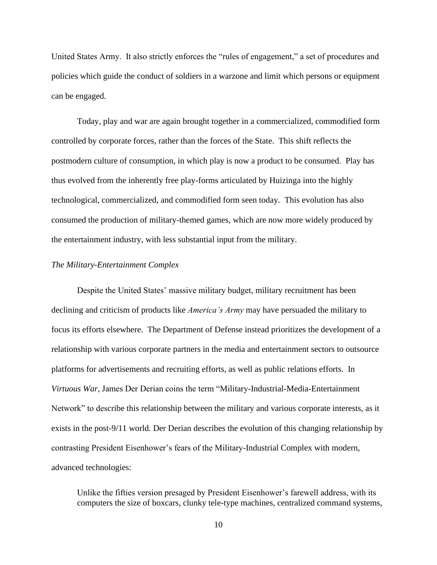United States Army. It also strictly enforces the "rules of engagement," a set of procedures and policies which guide the conduct of soldiers in a warzone and limit which persons or equipment can be engaged.

Today, play and war are again brought together in a commercialized, commodified form controlled by corporate forces, rather than the forces of the State. This shift reflects the postmodern culture of consumption, in which play is now a product to be consumed. Play has thus evolved from the inherently free play-forms articulated by Huizinga into the highly technological, commercialized, and commodified form seen today. This evolution has also consumed the production of military-themed games, which are now more widely produced by the entertainment industry, with less substantial input from the military.

# *The Military-Entertainment Complex*

Despite the United States' massive military budget, military recruitment has been declining and criticism of products like *America's Army* may have persuaded the military to focus its efforts elsewhere. The Department of Defense instead prioritizes the development of a relationship with various corporate partners in the media and entertainment sectors to outsource platforms for advertisements and recruiting efforts, as well as public relations efforts. In *Virtuous War*, James Der Derian coins the term "Military-Industrial-Media-Entertainment Network" to describe this relationship between the military and various corporate interests, as it exists in the post-9/11 world. Der Derian describes the evolution of this changing relationship by contrasting President Eisenhower's fears of the Military-Industrial Complex with modern, advanced technologies:

Unlike the fifties version presaged by President Eisenhower's farewell address, with its computers the size of boxcars, clunky tele-type machines, centralized command systems,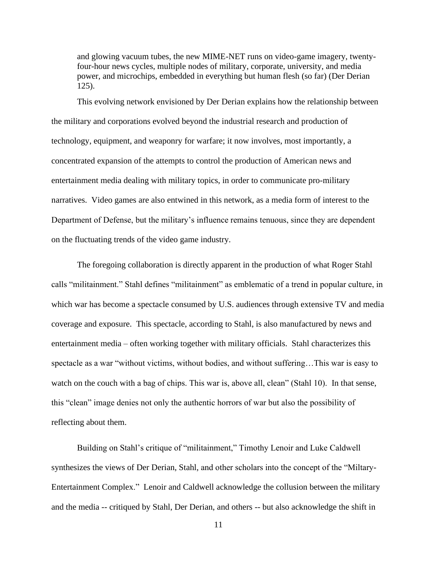and glowing vacuum tubes, the new MIME-NET runs on video-game imagery, twentyfour-hour news cycles, multiple nodes of military, corporate, university, and media power, and microchips, embedded in everything but human flesh (so far) (Der Derian 125).

This evolving network envisioned by Der Derian explains how the relationship between the military and corporations evolved beyond the industrial research and production of technology, equipment, and weaponry for warfare; it now involves, most importantly, a concentrated expansion of the attempts to control the production of American news and entertainment media dealing with military topics, in order to communicate pro-military narratives. Video games are also entwined in this network, as a media form of interest to the Department of Defense, but the military's influence remains tenuous, since they are dependent on the fluctuating trends of the video game industry.

The foregoing collaboration is directly apparent in the production of what Roger Stahl calls "militainment." Stahl defines "militainment" as emblematic of a trend in popular culture, in which war has become a spectacle consumed by U.S. audiences through extensive TV and media coverage and exposure. This spectacle, according to Stahl, is also manufactured by news and entertainment media – often working together with military officials. Stahl characterizes this spectacle as a war "without victims, without bodies, and without suffering…This war is easy to watch on the couch with a bag of chips. This war is, above all, clean" (Stahl 10). In that sense, this "clean" image denies not only the authentic horrors of war but also the possibility of reflecting about them.

Building on Stahl's critique of "militainment," Timothy Lenoir and Luke Caldwell synthesizes the views of Der Derian, Stahl, and other scholars into the concept of the "Miltary-Entertainment Complex." Lenoir and Caldwell acknowledge the collusion between the military and the media -- critiqued by Stahl, Der Derian, and others -- but also acknowledge the shift in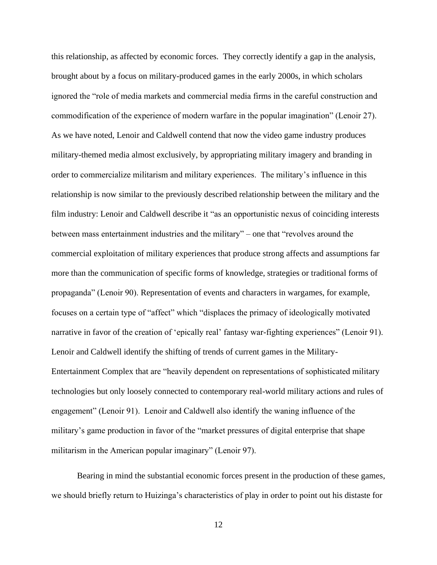this relationship, as affected by economic forces. They correctly identify a gap in the analysis, brought about by a focus on military-produced games in the early 2000s, in which scholars ignored the "role of media markets and commercial media firms in the careful construction and commodification of the experience of modern warfare in the popular imagination" (Lenoir 27). As we have noted, Lenoir and Caldwell contend that now the video game industry produces military-themed media almost exclusively, by appropriating military imagery and branding in order to commercialize militarism and military experiences. The military's influence in this relationship is now similar to the previously described relationship between the military and the film industry: Lenoir and Caldwell describe it "as an opportunistic nexus of coinciding interests between mass entertainment industries and the military" – one that "revolves around the commercial exploitation of military experiences that produce strong affects and assumptions far more than the communication of specific forms of knowledge, strategies or traditional forms of propaganda" (Lenoir 90). Representation of events and characters in wargames, for example, focuses on a certain type of "affect" which "displaces the primacy of ideologically motivated narrative in favor of the creation of 'epically real' fantasy war-fighting experiences" (Lenoir 91). Lenoir and Caldwell identify the shifting of trends of current games in the Military-Entertainment Complex that are "heavily dependent on representations of sophisticated military technologies but only loosely connected to contemporary real-world military actions and rules of engagement" (Lenoir 91). Lenoir and Caldwell also identify the waning influence of the military's game production in favor of the "market pressures of digital enterprise that shape militarism in the American popular imaginary" (Lenoir 97).

Bearing in mind the substantial economic forces present in the production of these games, we should briefly return to Huizinga's characteristics of play in order to point out his distaste for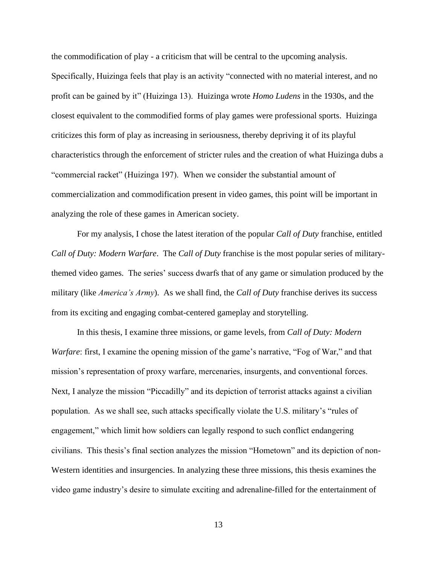the commodification of play - a criticism that will be central to the upcoming analysis.

Specifically, Huizinga feels that play is an activity "connected with no material interest, and no profit can be gained by it" (Huizinga 13). Huizinga wrote *Homo Ludens* in the 1930s, and the closest equivalent to the commodified forms of play games were professional sports. Huizinga criticizes this form of play as increasing in seriousness, thereby depriving it of its playful characteristics through the enforcement of stricter rules and the creation of what Huizinga dubs a "commercial racket" (Huizinga 197). When we consider the substantial amount of commercialization and commodification present in video games, this point will be important in analyzing the role of these games in American society.

For my analysis, I chose the latest iteration of the popular *Call of Duty* franchise, entitled *Call of Duty: Modern Warfare*. The *Call of Duty* franchise is the most popular series of militarythemed video games. The series' success dwarfs that of any game or simulation produced by the military (like *America's Army*). As we shall find, the *Call of Duty* franchise derives its success from its exciting and engaging combat-centered gameplay and storytelling.

In this thesis, I examine three missions, or game levels, from *Call of Duty: Modern Warfare*: first, I examine the opening mission of the game's narrative, "Fog of War," and that mission's representation of proxy warfare, mercenaries, insurgents, and conventional forces. Next, I analyze the mission "Piccadilly" and its depiction of terrorist attacks against a civilian population. As we shall see, such attacks specifically violate the U.S. military's "rules of engagement," which limit how soldiers can legally respond to such conflict endangering civilians. This thesis's final section analyzes the mission "Hometown" and its depiction of non-Western identities and insurgencies. In analyzing these three missions, this thesis examines the video game industry's desire to simulate exciting and adrenaline-filled for the entertainment of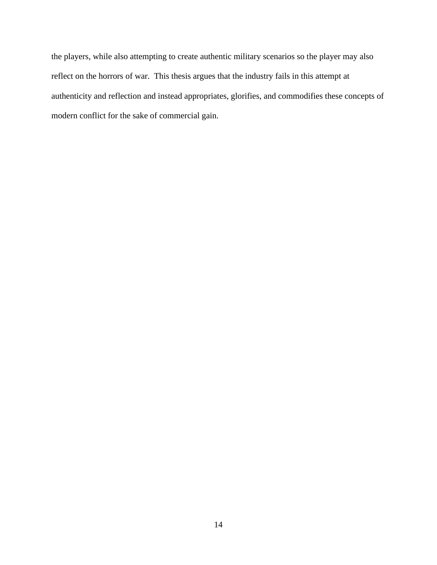the players, while also attempting to create authentic military scenarios so the player may also reflect on the horrors of war. This thesis argues that the industry fails in this attempt at authenticity and reflection and instead appropriates, glorifies, and commodifies these concepts of modern conflict for the sake of commercial gain.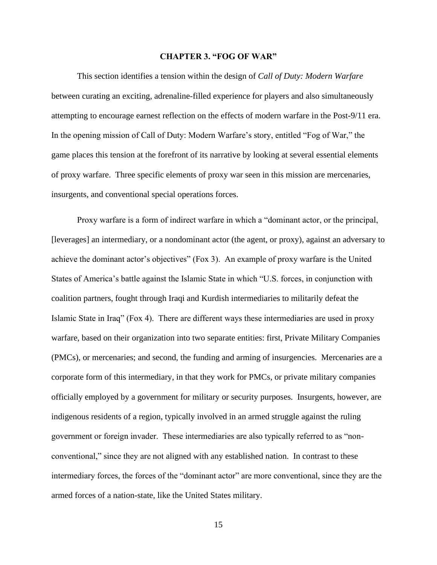#### **CHAPTER 3. "FOG OF WAR"**

This section identifies a tension within the design of *Call of Duty: Modern Warfare* between curating an exciting, adrenaline-filled experience for players and also simultaneously attempting to encourage earnest reflection on the effects of modern warfare in the Post-9/11 era. In the opening mission of Call of Duty: Modern Warfare's story, entitled "Fog of War," the game places this tension at the forefront of its narrative by looking at several essential elements of proxy warfare. Three specific elements of proxy war seen in this mission are mercenaries, insurgents, and conventional special operations forces.

Proxy warfare is a form of indirect warfare in which a "dominant actor, or the principal, [leverages] an intermediary, or a nondominant actor (the agent, or proxy), against an adversary to achieve the dominant actor's objectives" (Fox 3). An example of proxy warfare is the United States of America's battle against the Islamic State in which "U.S. forces, in conjunction with coalition partners, fought through Iraqi and Kurdish intermediaries to militarily defeat the Islamic State in Iraq" (Fox 4). There are different ways these intermediaries are used in proxy warfare, based on their organization into two separate entities: first, Private Military Companies (PMCs), or mercenaries; and second, the funding and arming of insurgencies. Mercenaries are a corporate form of this intermediary, in that they work for PMCs, or private military companies officially employed by a government for military or security purposes. Insurgents, however, are indigenous residents of a region, typically involved in an armed struggle against the ruling government or foreign invader. These intermediaries are also typically referred to as "nonconventional," since they are not aligned with any established nation. In contrast to these intermediary forces, the forces of the "dominant actor" are more conventional, since they are the armed forces of a nation-state, like the United States military.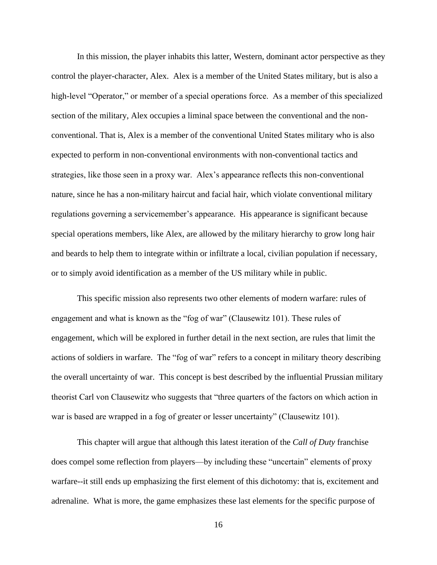In this mission, the player inhabits this latter, Western, dominant actor perspective as they control the player-character, Alex. Alex is a member of the United States military, but is also a high-level "Operator," or member of a special operations force. As a member of this specialized section of the military, Alex occupies a liminal space between the conventional and the nonconventional. That is, Alex is a member of the conventional United States military who is also expected to perform in non-conventional environments with non-conventional tactics and strategies, like those seen in a proxy war. Alex's appearance reflects this non-conventional nature, since he has a non-military haircut and facial hair, which violate conventional military regulations governing a servicemember's appearance. His appearance is significant because special operations members, like Alex, are allowed by the military hierarchy to grow long hair and beards to help them to integrate within or infiltrate a local, civilian population if necessary, or to simply avoid identification as a member of the US military while in public.

This specific mission also represents two other elements of modern warfare: rules of engagement and what is known as the "fog of war" (Clausewitz 101). These rules of engagement, which will be explored in further detail in the next section, are rules that limit the actions of soldiers in warfare.The "fog of war" refers to a concept in military theory describing the overall uncertainty of war. This concept is best described by the influential Prussian military theorist Carl von Clausewitz who suggests that "three quarters of the factors on which action in war is based are wrapped in a fog of greater or lesser uncertainty" (Clausewitz 101).

This chapter will argue that although this latest iteration of the *Call of Duty* franchise does compel some reflection from players—by including these "uncertain" elements of proxy warfare--it still ends up emphasizing the first element of this dichotomy: that is, excitement and adrenaline. What is more, the game emphasizes these last elements for the specific purpose of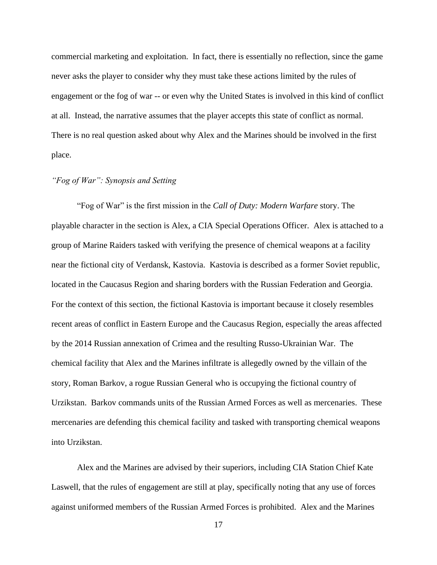commercial marketing and exploitation. In fact, there is essentially no reflection, since the game never asks the player to consider why they must take these actions limited by the rules of engagement or the fog of war -- or even why the United States is involved in this kind of conflict at all. Instead, the narrative assumes that the player accepts this state of conflict as normal. There is no real question asked about why Alex and the Marines should be involved in the first place.

# *"Fog of War": Synopsis and Setting*

"Fog of War" is the first mission in the *Call of Duty: Modern Warfare* story. The playable character in the section is Alex, a CIA Special Operations Officer. Alex is attached to a group of Marine Raiders tasked with verifying the presence of chemical weapons at a facility near the fictional city of Verdansk, Kastovia. Kastovia is described as a former Soviet republic, located in the Caucasus Region and sharing borders with the Russian Federation and Georgia. For the context of this section, the fictional Kastovia is important because it closely resembles recent areas of conflict in Eastern Europe and the Caucasus Region, especially the areas affected by the 2014 Russian annexation of Crimea and the resulting Russo-Ukrainian War. The chemical facility that Alex and the Marines infiltrate is allegedly owned by the villain of the story, Roman Barkov, a rogue Russian General who is occupying the fictional country of Urzikstan. Barkov commands units of the Russian Armed Forces as well as mercenaries. These mercenaries are defending this chemical facility and tasked with transporting chemical weapons into Urzikstan.

Alex and the Marines are advised by their superiors, including CIA Station Chief Kate Laswell, that the rules of engagement are still at play, specifically noting that any use of forces against uniformed members of the Russian Armed Forces is prohibited. Alex and the Marines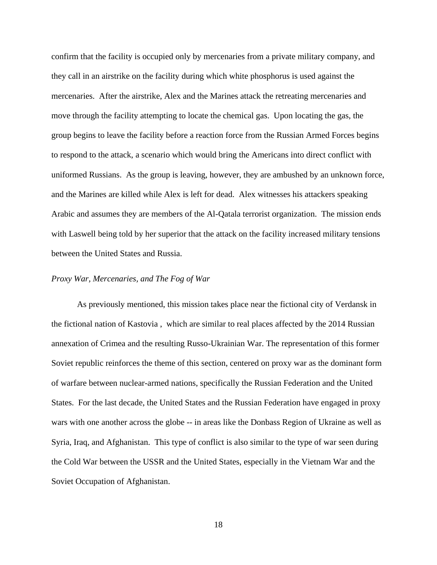confirm that the facility is occupied only by mercenaries from a private military company, and they call in an airstrike on the facility during which white phosphorus is used against the mercenaries. After the airstrike, Alex and the Marines attack the retreating mercenaries and move through the facility attempting to locate the chemical gas. Upon locating the gas, the group begins to leave the facility before a reaction force from the Russian Armed Forces begins to respond to the attack, a scenario which would bring the Americans into direct conflict with uniformed Russians. As the group is leaving, however, they are ambushed by an unknown force, and the Marines are killed while Alex is left for dead. Alex witnesses his attackers speaking Arabic and assumes they are members of the Al-Qatala terrorist organization. The mission ends with Laswell being told by her superior that the attack on the facility increased military tensions between the United States and Russia.

#### *Proxy War, Mercenaries, and The Fog of War*

As previously mentioned, this mission takes place near the fictional city of Verdansk in the fictional nation of Kastovia , which are similar to real places affected by the 2014 Russian annexation of Crimea and the resulting Russo-Ukrainian War. The representation of this former Soviet republic reinforces the theme of this section, centered on proxy war as the dominant form of warfare between nuclear-armed nations, specifically the Russian Federation and the United States. For the last decade, the United States and the Russian Federation have engaged in proxy wars with one another across the globe -- in areas like the Donbass Region of Ukraine as well as Syria, Iraq, and Afghanistan. This type of conflict is also similar to the type of war seen during the Cold War between the USSR and the United States, especially in the Vietnam War and the Soviet Occupation of Afghanistan.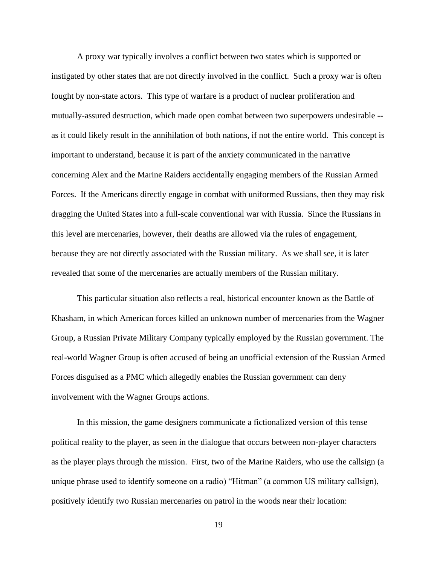A proxy war typically involves a conflict between two states which is supported or instigated by other states that are not directly involved in the conflict. Such a proxy war is often fought by non-state actors. This type of warfare is a product of nuclear proliferation and mutually-assured destruction, which made open combat between two superpowers undesirable **-** as it could likely result in the annihilation of both nations, if not the entire world. This concept is important to understand, because it is part of the anxiety communicated in the narrative concerning Alex and the Marine Raiders accidentally engaging members of the Russian Armed Forces. If the Americans directly engage in combat with uniformed Russians, then they may risk dragging the United States into a full-scale conventional war with Russia. Since the Russians in this level are mercenaries, however, their deaths are allowed via the rules of engagement, because they are not directly associated with the Russian military. As we shall see, it is later revealed that some of the mercenaries are actually members of the Russian military.

This particular situation also reflects a real, historical encounter known as the Battle of Khasham, in which American forces killed an unknown number of mercenaries from the Wagner Group, a Russian Private Military Company typically employed by the Russian government. The real-world Wagner Group is often accused of being an unofficial extension of the Russian Armed Forces disguised as a PMC which allegedly enables the Russian government can deny involvement with the Wagner Groups actions.

In this mission, the game designers communicate a fictionalized version of this tense political reality to the player, as seen in the dialogue that occurs between non-player characters as the player plays through the mission. First, two of the Marine Raiders, who use the callsign (a unique phrase used to identify someone on a radio) "Hitman" (a common US military callsign), positively identify two Russian mercenaries on patrol in the woods near their location: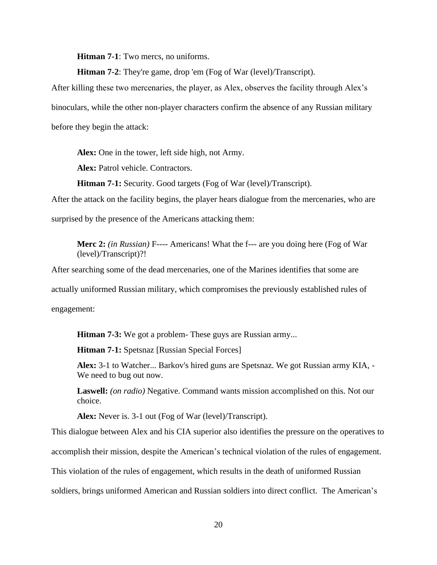**Hitman 7-1**: Two mercs, no uniforms.

**Hitman 7-2**: They're game, drop 'em (Fog of War (level)/Transcript).

After killing these two mercenaries, the player, as Alex, observes the facility through Alex's binoculars, while the other non-player characters confirm the absence of any Russian military before they begin the attack:

**Alex:** One in the tower, left side high, not Army.

**Alex:** Patrol vehicle. Contractors.

**Hitman 7-1:** Security. Good targets (Fog of War (level)/Transcript).

After the attack on the facility begins, the player hears dialogue from the mercenaries, who are

surprised by the presence of the Americans attacking them:

**Merc 2:** *(in Russian)* F---- Americans! What the f--- are you doing here (Fog of War (level)/Transcript)?!

After searching some of the dead mercenaries, one of the Marines identifies that some are actually uniformed Russian military, which compromises the previously established rules of engagement:

**Hitman 7-3:** We got a problem- These guys are Russian army...

**Hitman 7-1:** Spetsnaz [Russian Special Forces]

**Alex:** 3-1 to Watcher... Barkov's hired guns are Spetsnaz. We got Russian army KIA, - We need to bug out now.

**Laswell:** *(on radio)* Negative. Command wants mission accomplished on this. Not our choice.

**Alex:** Never is. 3-1 out (Fog of War (level)/Transcript).

This dialogue between Alex and his CIA superior also identifies the pressure on the operatives to

accomplish their mission, despite the American's technical violation of the rules of engagement.

This violation of the rules of engagement, which results in the death of uniformed Russian

soldiers, brings uniformed American and Russian soldiers into direct conflict. The American's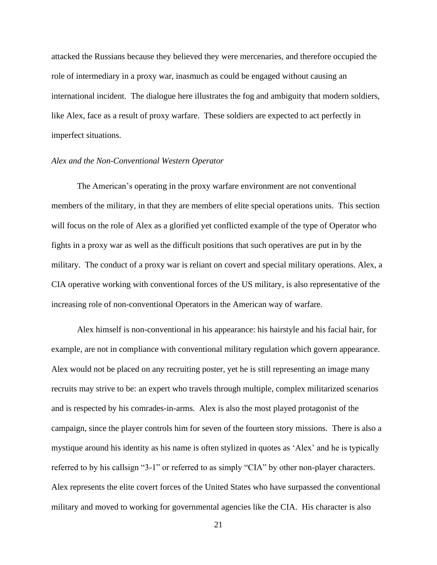attacked the Russians because they believed they were mercenaries, and therefore occupied the role of intermediary in a proxy war, inasmuch as could be engaged without causing an international incident. The dialogue here illustrates the fog and ambiguity that modern soldiers, like Alex, face as a result of proxy warfare. These soldiers are expected to act perfectly in imperfect situations.

## *Alex and the Non-Conventional Western Operator*

The American's operating in the proxy warfare environment are not conventional members of the military, in that they are members of elite special operations units. This section will focus on the role of Alex as a glorified yet conflicted example of the type of Operator who fights in a proxy war as well as the difficult positions that such operatives are put in by the military. The conduct of a proxy war is reliant on covert and special military operations. Alex, a CIA operative working with conventional forces of the US military, is also representative of the increasing role of non-conventional Operators in the American way of warfare.

Alex himself is non-conventional in his appearance: his hairstyle and his facial hair, for example, are not in compliance with conventional military regulation which govern appearance. Alex would not be placed on any recruiting poster, yet he is still representing an image many recruits may strive to be: an expert who travels through multiple, complex militarized scenarios and is respected by his comrades-in-arms. Alex is also the most played protagonist of the campaign, since the player controls him for seven of the fourteen story missions.There is also a mystique around his identity as his name is often stylized in quotes as 'Alex' and he is typically referred to by his callsign "3-1" or referred to as simply "CIA" by other non-player characters. Alex represents the elite covert forces of the United States who have surpassed the conventional military and moved to working for governmental agencies like the CIA.His character is also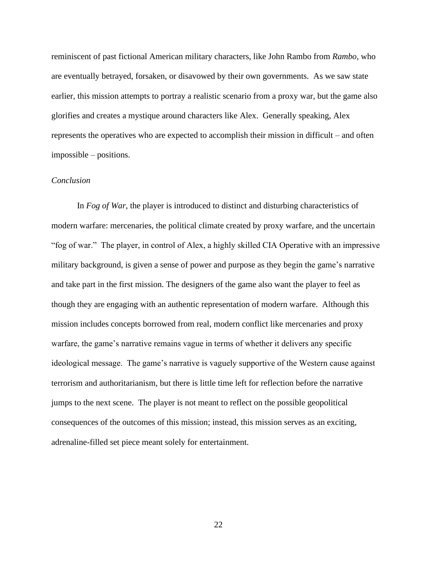reminiscent of past fictional American military characters, like John Rambo from *Rambo*, who are eventually betrayed, forsaken, or disavowed by their own governments.As we saw state earlier, this mission attempts to portray a realistic scenario from a proxy war, but the game also glorifies and creates a mystique around characters like Alex. Generally speaking, Alex represents the operatives who are expected to accomplish their mission in difficult – and often impossible – positions.

# *Conclusion*

In *Fog of War*, the player is introduced to distinct and disturbing characteristics of modern warfare: mercenaries, the political climate created by proxy warfare, and the uncertain "fog of war." The player, in control of Alex, a highly skilled CIA Operative with an impressive military background, is given a sense of power and purpose as they begin the game's narrative and take part in the first mission. The designers of the game also want the player to feel as though they are engaging with an authentic representation of modern warfare. Although this mission includes concepts borrowed from real, modern conflict like mercenaries and proxy warfare, the game's narrative remains vague in terms of whether it delivers any specific ideological message. The game's narrative is vaguely supportive of the Western cause against terrorism and authoritarianism, but there is little time left for reflection before the narrative jumps to the next scene. The player is not meant to reflect on the possible geopolitical consequences of the outcomes of this mission; instead, this mission serves as an exciting, adrenaline-filled set piece meant solely for entertainment.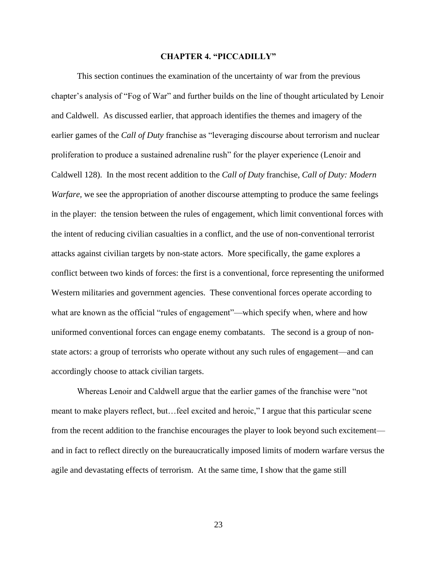#### **CHAPTER 4. "PICCADILLY"**

This section continues the examination of the uncertainty of war from the previous chapter's analysis of "Fog of War" and further builds on the line of thought articulated by Lenoir and Caldwell. As discussed earlier, that approach identifies the themes and imagery of the earlier games of the *Call of Duty* franchise as "leveraging discourse about terrorism and nuclear proliferation to produce a sustained adrenaline rush" for the player experience (Lenoir and Caldwell 128). In the most recent addition to the *Call of Duty* franchise, *Call of Duty: Modern Warfare,* we see the appropriation of another discourse attempting to produce the same feelings in the player: the tension between the rules of engagement, which limit conventional forces with the intent of reducing civilian casualties in a conflict, and the use of non-conventional terrorist attacks against civilian targets by non-state actors. More specifically, the game explores a conflict between two kinds of forces: the first is a conventional, force representing the uniformed Western militaries and government agencies. These conventional forces operate according to what are known as the official "rules of engagement"—which specify when, where and how uniformed conventional forces can engage enemy combatants. The second is a group of nonstate actors: a group of terrorists who operate without any such rules of engagement—and can accordingly choose to attack civilian targets.

Whereas Lenoir and Caldwell argue that the earlier games of the franchise were "not meant to make players reflect, but…feel excited and heroic," I argue that this particular scene from the recent addition to the franchise encourages the player to look beyond such excitement and in fact to reflect directly on the bureaucratically imposed limits of modern warfare versus the agile and devastating effects of terrorism. At the same time, I show that the game still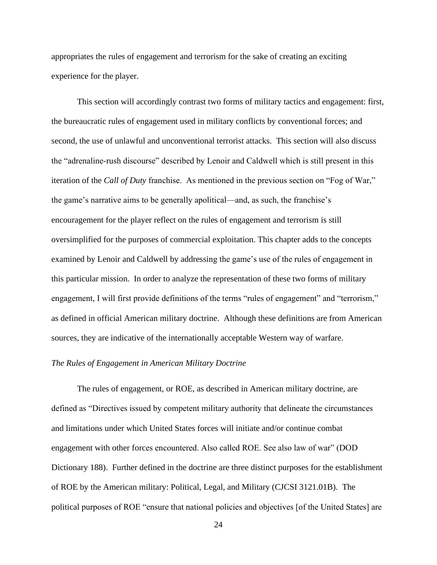appropriates the rules of engagement and terrorism for the sake of creating an exciting experience for the player.

This section will accordingly contrast two forms of military tactics and engagement: first, the bureaucratic rules of engagement used in military conflicts by conventional forces; and second, the use of unlawful and unconventional terrorist attacks. This section will also discuss the "adrenaline-rush discourse" described by Lenoir and Caldwell which is still present in this iteration of the *Call of Duty* franchise. As mentioned in the previous section on "Fog of War," the game's narrative aims to be generally apolitical—and, as such, the franchise's encouragement for the player reflect on the rules of engagement and terrorism is still oversimplified for the purposes of commercial exploitation. This chapter adds to the concepts examined by Lenoir and Caldwell by addressing the game's use of the rules of engagement in this particular mission. In order to analyze the representation of these two forms of military engagement, I will first provide definitions of the terms "rules of engagement" and "terrorism," as defined in official American military doctrine. Although these definitions are from American sources, they are indicative of the internationally acceptable Western way of warfare.

#### *The Rules of Engagement in American Military Doctrine*

The rules of engagement, or ROE, as described in American military doctrine, are defined as "Directives issued by competent military authority that delineate the circumstances and limitations under which United States forces will initiate and/or continue combat engagement with other forces encountered. Also called ROE. See also law of war" (DOD Dictionary 188). Further defined in the doctrine are three distinct purposes for the establishment of ROE by the American military: Political, Legal, and Military (CJCSI 3121.01B). The political purposes of ROE "ensure that national policies and objectives [of the United States] are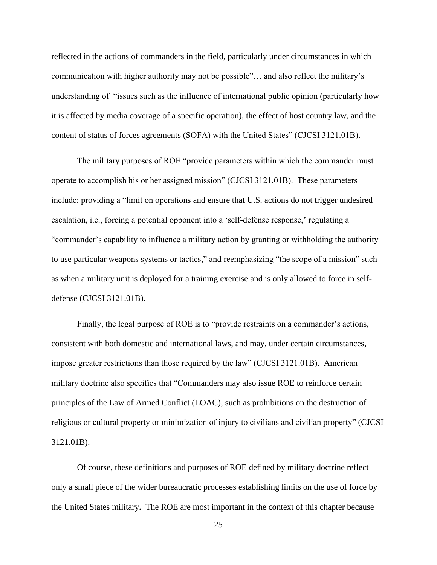reflected in the actions of commanders in the field, particularly under circumstances in which communication with higher authority may not be possible"… and also reflect the military's understanding of "issues such as the influence of international public opinion (particularly how it is affected by media coverage of a specific operation), the effect of host country law, and the content of status of forces agreements (SOFA) with the United States" (CJCSI 3121.01B).

The military purposes of ROE "provide parameters within which the commander must operate to accomplish his or her assigned mission" (CJCSI 3121.01B). These parameters include: providing a "limit on operations and ensure that U.S. actions do not trigger undesired escalation, i.e., forcing a potential opponent into a 'self-defense response,' regulating a "commander's capability to influence a military action by granting or withholding the authority to use particular weapons systems or tactics," and reemphasizing "the scope of a mission" such as when a military unit is deployed for a training exercise and is only allowed to force in selfdefense (CJCSI 3121.01B).

Finally, the legal purpose of ROE is to "provide restraints on a commander's actions, consistent with both domestic and international laws, and may, under certain circumstances, impose greater restrictions than those required by the law" (CJCSI 3121.01B). American military doctrine also specifies that "Commanders may also issue ROE to reinforce certain principles of the Law of Armed Conflict (LOAC), such as prohibitions on the destruction of religious or cultural property or minimization of injury to civilians and civilian property" (CJCSI 3121.01B).

Of course, these definitions and purposes of ROE defined by military doctrine reflect only a small piece of the wider bureaucratic processes establishing limits on the use of force by the United States military**.** The ROE are most important in the context of this chapter because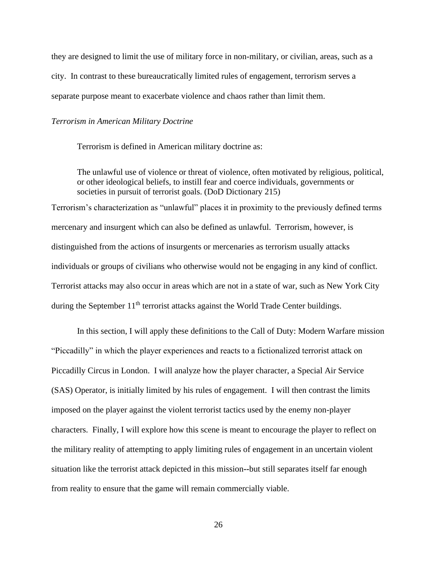they are designed to limit the use of military force in non-military, or civilian, areas, such as a city. In contrast to these bureaucratically limited rules of engagement, terrorism serves a separate purpose meant to exacerbate violence and chaos rather than limit them.

#### *Terrorism in American Military Doctrine*

Terrorism is defined in American military doctrine as:

The unlawful use of violence or threat of violence, often motivated by religious, political, or other ideological beliefs, to instill fear and coerce individuals, governments or societies in pursuit of terrorist goals. (DoD Dictionary 215)

Terrorism's characterization as "unlawful" places it in proximity to the previously defined terms mercenary and insurgent which can also be defined as unlawful. Terrorism, however, is distinguished from the actions of insurgents or mercenaries as terrorism usually attacks individuals or groups of civilians who otherwise would not be engaging in any kind of conflict. Terrorist attacks may also occur in areas which are not in a state of war, such as New York City during the September  $11<sup>th</sup>$  terrorist attacks against the World Trade Center buildings.

In this section, I will apply these definitions to the Call of Duty: Modern Warfare mission "Piccadilly" in which the player experiences and reacts to a fictionalized terrorist attack on Piccadilly Circus in London. I will analyze how the player character, a Special Air Service (SAS) Operator, is initially limited by his rules of engagement. I will then contrast the limits imposed on the player against the violent terrorist tactics used by the enemy non-player characters. Finally, I will explore how this scene is meant to encourage the player to reflect on the military reality of attempting to apply limiting rules of engagement in an uncertain violent situation like the terrorist attack depicted in this mission**--**but still separates itself far enough from reality to ensure that the game will remain commercially viable.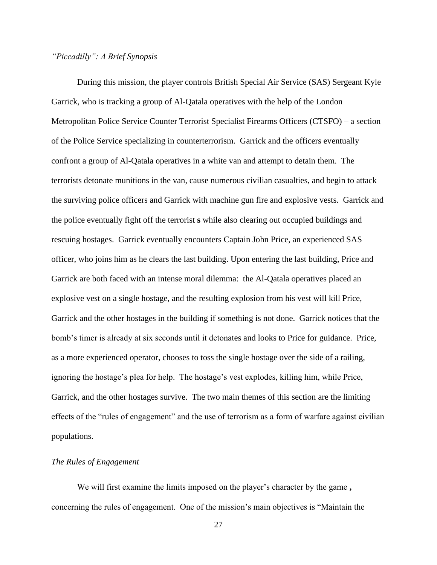# *"Piccadilly": A Brief Synopsis*

During this mission, the player controls British Special Air Service (SAS) Sergeant Kyle Garrick, who is tracking a group of Al-Qatala operatives with the help of the London Metropolitan Police Service Counter Terrorist Specialist Firearms Officers (CTSFO) – a section of the Police Service specializing in counterterrorism. Garrick and the officers eventually confront a group of Al-Qatala operatives in a white van and attempt to detain them. The terrorists detonate munitions in the van, cause numerous civilian casualties, and begin to attack the surviving police officers and Garrick with machine gun fire and explosive vests. Garrick and the police eventually fight off the terrorist **s** while also clearing out occupied buildings and rescuing hostages. Garrick eventually encounters Captain John Price, an experienced SAS officer, who joins him as he clears the last building. Upon entering the last building, Price and Garrick are both faced with an intense moral dilemma: the Al-Qatala operatives placed an explosive vest on a single hostage, and the resulting explosion from his vest will kill Price, Garrick and the other hostages in the building if something is not done. Garrick notices that the bomb's timer is already at six seconds until it detonates and looks to Price for guidance. Price, as a more experienced operator, chooses to toss the single hostage over the side of a railing, ignoring the hostage's plea for help. The hostage's vest explodes, killing him, while Price, Garrick, and the other hostages survive. The two main themes of this section are the limiting effects of the "rules of engagement" and the use of terrorism as a form of warfare against civilian populations.

#### *The Rules of Engagement*

We will first examine the limits imposed on the player's character by the game **,**  concerning the rules of engagement. One of the mission's main objectives is "Maintain the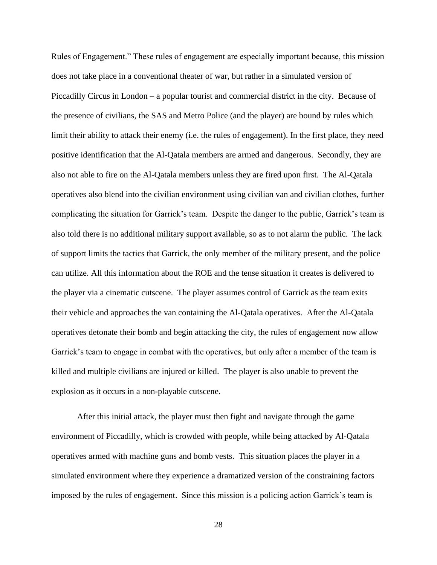Rules of Engagement." These rules of engagement are especially important because, this mission does not take place in a conventional theater of war, but rather in a simulated version of Piccadilly Circus in London – a popular tourist and commercial district in the city. Because of the presence of civilians, the SAS and Metro Police (and the player) are bound by rules which limit their ability to attack their enemy (i.e. the rules of engagement). In the first place, they need positive identification that the Al-Qatala members are armed and dangerous. Secondly, they are also not able to fire on the Al-Qatala members unless they are fired upon first. The Al-Qatala operatives also blend into the civilian environment using civilian van and civilian clothes, further complicating the situation for Garrick's team. Despite the danger to the public, Garrick's team is also told there is no additional military support available, so as to not alarm the public. The lack of support limits the tactics that Garrick, the only member of the military present, and the police can utilize. All this information about the ROE and the tense situation it creates is delivered to the player via a cinematic cutscene. The player assumes control of Garrick as the team exits their vehicle and approaches the van containing the Al-Qatala operatives. After the Al-Qatala operatives detonate their bomb and begin attacking the city, the rules of engagement now allow Garrick's team to engage in combat with the operatives, but only after a member of the team is killed and multiple civilians are injured or killed. The player is also unable to prevent the explosion as it occurs in a non-playable cutscene.

After this initial attack, the player must then fight and navigate through the game environment of Piccadilly, which is crowded with people, while being attacked by Al-Qatala operatives armed with machine guns and bomb vests. This situation places the player in a simulated environment where they experience a dramatized version of the constraining factors imposed by the rules of engagement. Since this mission is a policing action Garrick's team is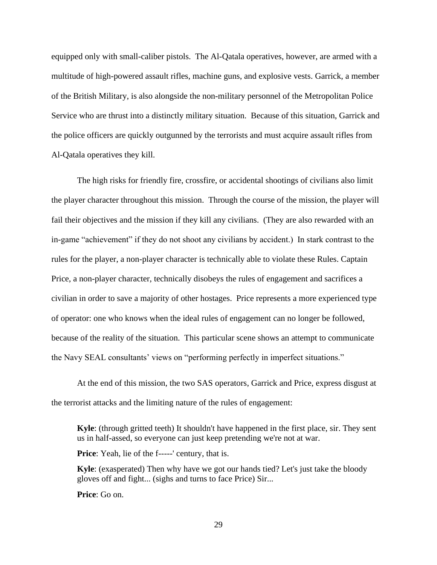equipped only with small-caliber pistols. The Al-Qatala operatives, however, are armed with a multitude of high-powered assault rifles, machine guns, and explosive vests. Garrick, a member of the British Military, is also alongside the non-military personnel of the Metropolitan Police Service who are thrust into a distinctly military situation. Because of this situation, Garrick and the police officers are quickly outgunned by the terrorists and must acquire assault rifles from Al-Qatala operatives they kill.

The high risks for friendly fire, crossfire, or accidental shootings of civilians also limit the player character throughout this mission. Through the course of the mission, the player will fail their objectives and the mission if they kill any civilians. (They are also rewarded with an in-game "achievement" if they do not shoot any civilians by accident.) In stark contrast to the rules for the player, a non-player character is technically able to violate these Rules. Captain Price, a non-player character, technically disobeys the rules of engagement and sacrifices a civilian in order to save a majority of other hostages. Price represents a more experienced type of operator: one who knows when the ideal rules of engagement can no longer be followed, because of the reality of the situation. This particular scene shows an attempt to communicate the Navy SEAL consultants' views on "performing perfectly in imperfect situations."

At the end of this mission, the two SAS operators, Garrick and Price, express disgust at the terrorist attacks and the limiting nature of the rules of engagement:

**Kyle**: (through gritted teeth) It shouldn't have happened in the first place, sir. They sent us in half-assed, so everyone can just keep pretending we're not at war.

**Price**: Yeah, lie of the f-----' century, that is.

**Kyle**: (exasperated) Then why have we got our hands tied? Let's just take the bloody gloves off and fight... (sighs and turns to face Price) Sir...

**Price**: Go on.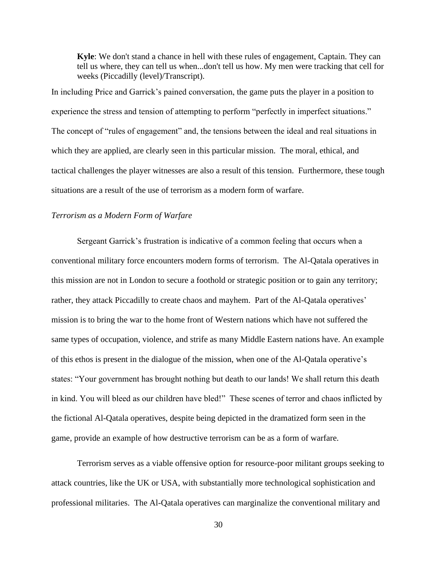**Kyle**: We don't stand a chance in hell with these rules of engagement, Captain. They can tell us where, they can tell us when...don't tell us how. My men were tracking that cell for weeks (Piccadilly (level)/Transcript).

In including Price and Garrick's pained conversation, the game puts the player in a position to experience the stress and tension of attempting to perform "perfectly in imperfect situations." The concept of "rules of engagement" and, the tensions between the ideal and real situations in which they are applied, are clearly seen in this particular mission. The moral, ethical, and tactical challenges the player witnesses are also a result of this tension. Furthermore, these tough situations are a result of the use of terrorism as a modern form of warfare.

# *Terrorism as a Modern Form of Warfare*

Sergeant Garrick's frustration is indicative of a common feeling that occurs when a conventional military force encounters modern forms of terrorism. The Al-Qatala operatives in this mission are not in London to secure a foothold or strategic position or to gain any territory; rather, they attack Piccadilly to create chaos and mayhem. Part of the Al-Qatala operatives' mission is to bring the war to the home front of Western nations which have not suffered the same types of occupation, violence, and strife as many Middle Eastern nations have. An example of this ethos is present in the dialogue of the mission, when one of the Al-Qatala operative's states: "Your government has brought nothing but death to our lands! We shall return this death in kind. You will bleed as our children have bled!" These scenes of terror and chaos inflicted by the fictional Al-Qatala operatives, despite being depicted in the dramatized form seen in the game, provide an example of how destructive terrorism can be as a form of warfare.

Terrorism serves as a viable offensive option for resource-poor militant groups seeking to attack countries, like the UK or USA, with substantially more technological sophistication and professional militaries. The Al-Qatala operatives can marginalize the conventional military and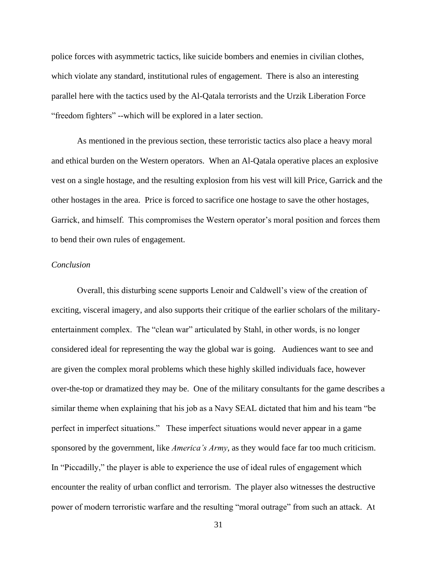police forces with asymmetric tactics, like suicide bombers and enemies in civilian clothes, which violate any standard, institutional rules of engagement. There is also an interesting parallel here with the tactics used by the Al-Qatala terrorists and the Urzik Liberation Force "freedom fighters" --which will be explored in a later section.

As mentioned in the previous section, these terroristic tactics also place a heavy moral and ethical burden on the Western operators. When an Al-Qatala operative places an explosive vest on a single hostage, and the resulting explosion from his vest will kill Price, Garrick and the other hostages in the area. Price is forced to sacrifice one hostage to save the other hostages, Garrick, and himself. This compromises the Western operator's moral position and forces them to bend their own rules of engagement.

# *Conclusion*

Overall, this disturbing scene supports Lenoir and Caldwell's view of the creation of exciting, visceral imagery, and also supports their critique of the earlier scholars of the militaryentertainment complex. The "clean war" articulated by Stahl, in other words, is no longer considered ideal for representing the way the global war is going. Audiences want to see and are given the complex moral problems which these highly skilled individuals face, however over-the-top or dramatized they may be. One of the military consultants for the game describes a similar theme when explaining that his job as a Navy SEAL dictated that him and his team "be perfect in imperfect situations." These imperfect situations would never appear in a game sponsored by the government, like *America's Army*, as they would face far too much criticism. In "Piccadilly," the player is able to experience the use of ideal rules of engagement which encounter the reality of urban conflict and terrorism. The player also witnesses the destructive power of modern terroristic warfare and the resulting "moral outrage" from such an attack. At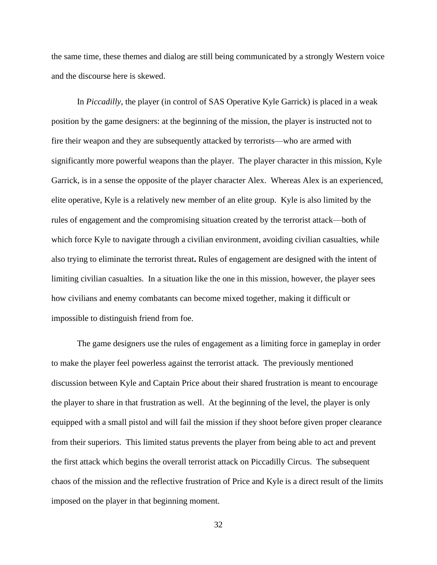the same time, these themes and dialog are still being communicated by a strongly Western voice and the discourse here is skewed.

In *Piccadilly*, the player (in control of SAS Operative Kyle Garrick) is placed in a weak position by the game designers: at the beginning of the mission, the player is instructed not to fire their weapon and they are subsequently attacked by terrorists—who are armed with significantly more powerful weapons than the player. The player character in this mission, Kyle Garrick, is in a sense the opposite of the player character Alex. Whereas Alex is an experienced, elite operative, Kyle is a relatively new member of an elite group. Kyle is also limited by the rules of engagement and the compromising situation created by the terrorist attack—both of which force Kyle to navigate through a civilian environment, avoiding civilian casualties, while also trying to eliminate the terrorist threat**.** Rules of engagement are designed with the intent of limiting civilian casualties. In a situation like the one in this mission, however, the player sees how civilians and enemy combatants can become mixed together, making it difficult or impossible to distinguish friend from foe.

The game designers use the rules of engagement as a limiting force in gameplay in order to make the player feel powerless against the terrorist attack. The previously mentioned discussion between Kyle and Captain Price about their shared frustration is meant to encourage the player to share in that frustration as well. At the beginning of the level, the player is only equipped with a small pistol and will fail the mission if they shoot before given proper clearance from their superiors. This limited status prevents the player from being able to act and prevent the first attack which begins the overall terrorist attack on Piccadilly Circus. The subsequent chaos of the mission and the reflective frustration of Price and Kyle is a direct result of the limits imposed on the player in that beginning moment.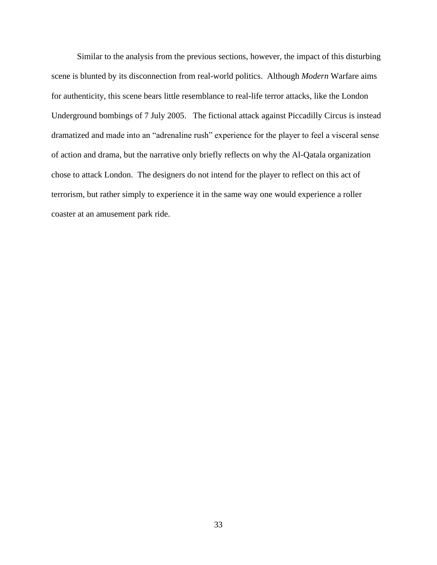Similar to the analysis from the previous sections, however, the impact of this disturbing scene is blunted by its disconnection from real-world politics. Although *Modern* Warfare aims for authenticity, this scene bears little resemblance to real-life terror attacks, like the London Underground bombings of 7 July 2005. The fictional attack against Piccadilly Circus is instead dramatized and made into an "adrenaline rush" experience for the player to feel a visceral sense of action and drama, but the narrative only briefly reflects on why the Al-Qatala organization chose to attack London. The designers do not intend for the player to reflect on this act of terrorism, but rather simply to experience it in the same way one would experience a roller coaster at an amusement park ride.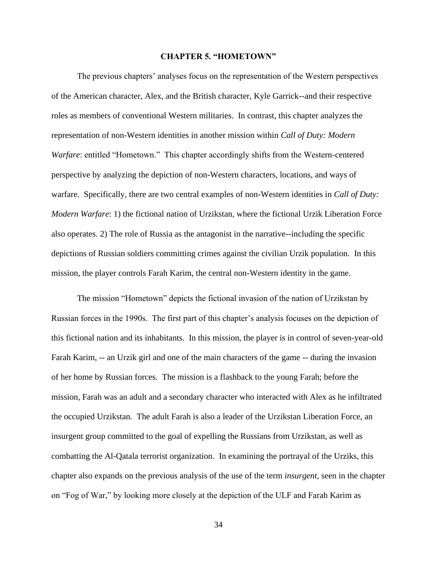#### **CHAPTER 5. "HOMETOWN"**

The previous chapters' analyses focus on the representation of the Western perspectives of the American character, Alex, and the British character, Kyle Garrick--and their respective roles as members of conventional Western militaries. In contrast, this chapter analyzes the representation of non-Western identities in another mission within *Call of Duty: Modern Warfare*: entitled "Hometown." This chapter accordingly shifts from the Western-centered perspective by analyzing the depiction of non-Western characters, locations, and ways of warfare. Specifically, there are two central examples of non-Western identities in *Call of Duty: Modern Warfare*: 1) the fictional nation of Urzikstan, where the fictional Urzik Liberation Force also operates. 2) The role of Russia as the antagonist in the narrative--including the specific depictions of Russian soldiers committing crimes against the civilian Urzik population. In this mission, the player controls Farah Karim, the central non-Western identity in the game.

The mission "Hometown" depicts the fictional invasion of the nation of Urzikstan by Russian forces in the 1990s. The first part of this chapter's analysis focuses on the depiction of this fictional nation and its inhabitants. In this mission, the player is in control of seven-year-old Farah Karim, -- an Urzik girl and one of the main characters of the game -- during the invasion of her home by Russian forces. The mission is a flashback to the young Farah; before the mission, Farah was an adult and a secondary character who interacted with Alex as he infiltrated the occupied Urzikstan. The adult Farah is also a leader of the Urzikstan Liberation Force, an insurgent group committed to the goal of expelling the Russians from Urzikstan, as well as combatting the Al-Qatala terrorist organization. In examining the portrayal of the Urziks, this chapter also expands on the previous analysis of the use of the term *insurgent,* seen in the chapter on "Fog of War," by looking more closely at the depiction of the ULF and Farah Karim as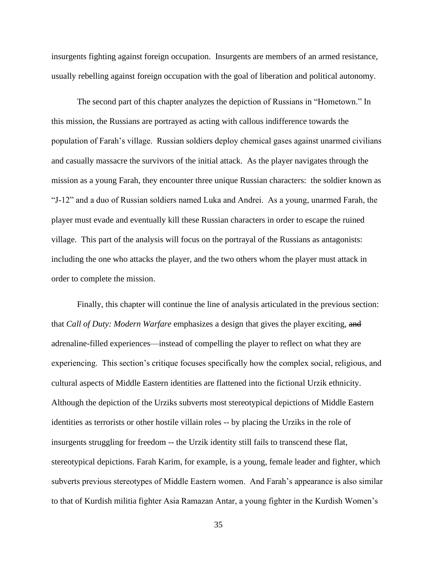insurgents fighting against foreign occupation. Insurgents are members of an armed resistance, usually rebelling against foreign occupation with the goal of liberation and political autonomy.

The second part of this chapter analyzes the depiction of Russians in "Hometown." In this mission, the Russians are portrayed as acting with callous indifference towards the population of Farah's village. Russian soldiers deploy chemical gases against unarmed civilians and casually massacre the survivors of the initial attack. As the player navigates through the mission as a young Farah, they encounter three unique Russian characters: the soldier known as "J-12" and a duo of Russian soldiers named Luka and Andrei. As a young, unarmed Farah, the player must evade and eventually kill these Russian characters in order to escape the ruined village. This part of the analysis will focus on the portrayal of the Russians as antagonists: including the one who attacks the player, and the two others whom the player must attack in order to complete the mission.

Finally, this chapter will continue the line of analysis articulated in the previous section: that *Call of Duty: Modern Warfare* emphasizes a design that gives the player exciting, and adrenaline-filled experiences—instead of compelling the player to reflect on what they are experiencing. This section's critique focuses specifically how the complex social, religious, and cultural aspects of Middle Eastern identities are flattened into the fictional Urzik ethnicity. Although the depiction of the Urziks subverts most stereotypical depictions of Middle Eastern identities as terrorists or other hostile villain roles -- by placing the Urziks in the role of insurgents struggling for freedom -- the Urzik identity still fails to transcend these flat, stereotypical depictions. Farah Karim, for example, is a young, female leader and fighter, which subverts previous stereotypes of Middle Eastern women. And Farah's appearance is also similar to that of Kurdish militia fighter Asia Ramazan Antar, a young fighter in the Kurdish Women's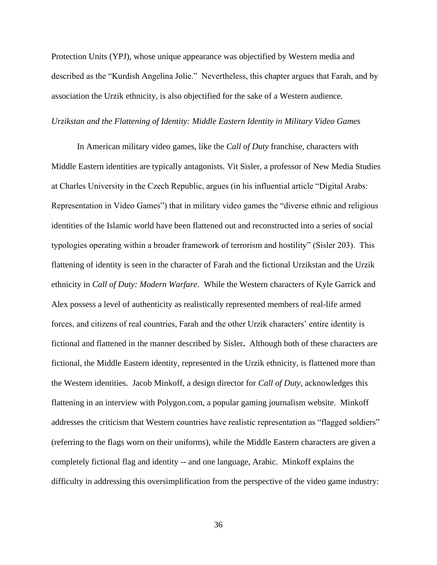Protection Units (YPJ), whose unique appearance was objectified by Western media and described as the "Kurdish Angelina Jolie." Nevertheless, this chapter argues that Farah, and by association the Urzik ethnicity, is also objectified for the sake of a Western audience.

# *Urzikstan and the Flattening of Identity: Middle Eastern Identity in Military Video Games*

In American military video games, like the *Call of Duty* franchise, characters with Middle Eastern identities are typically antagonists*.* Vit Sisler, a professor of New Media Studies at Charles University in the Czech Republic, argues (in his influential article "Digital Arabs: Representation in Video Games") that in military video games the "diverse ethnic and religious identities of the Islamic world have been flattened out and reconstructed into a series of social typologies operating within a broader framework of terrorism and hostility" (Sisler 203). This flattening of identity is seen in the character of Farah and the fictional Urzikstan and the Urzik ethnicity in *Call of Duty: Modern Warfare*. While the Western characters of Kyle Garrick and Alex possess a level of authenticity as realistically represented members of real-life armed forces, and citizens of real countries, Farah and the other Urzik characters' entire identity is fictional and flattened in the manner described by Sisler**.** Although both of these characters are fictional, the Middle Eastern identity, represented in the Urzik ethnicity, is flattened more than the Western identities. Jacob Minkoff, a design director for *Call of Duty*, acknowledges this flattening in an interview with Polygon.com, a popular gaming journalism website. Minkoff addresses the criticism that Western countries have realistic representation as "flagged soldiers" (referring to the flags worn on their uniforms), while the Middle Eastern characters are given a completely fictional flag and identity -- and one language, Arabic. Minkoff explains the difficulty in addressing this oversimplification from the perspective of the video game industry: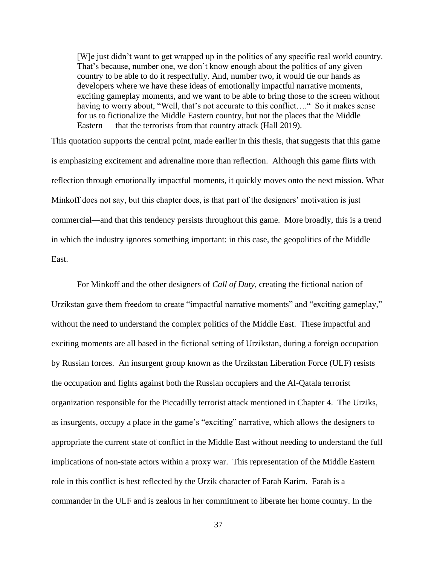[W]e just didn't want to get wrapped up in the politics of any specific real world country. That's because, number one, we don't know enough about the politics of any given country to be able to do it respectfully. And, number two, it would tie our hands as developers where we have these ideas of emotionally impactful narrative moments, exciting gameplay moments, and we want to be able to bring those to the screen without having to worry about, "Well, that's not accurate to this conflict...." So it makes sense for us to fictionalize the Middle Eastern country, but not the places that the Middle Eastern — that the terrorists from that country attack (Hall 2019).

This quotation supports the central point, made earlier in this thesis, that suggests that this game is emphasizing excitement and adrenaline more than reflection. Although this game flirts with reflection through emotionally impactful moments, it quickly moves onto the next mission. What Minkoff does not say, but this chapter does, is that part of the designers' motivation is just commercial—and that this tendency persists throughout this game. More broadly, this is a trend in which the industry ignores something important: in this case, the geopolitics of the Middle East.

For Minkoff and the other designers of *Call of Duty*, creating the fictional nation of Urzikstan gave them freedom to create "impactful narrative moments" and "exciting gameplay," without the need to understand the complex politics of the Middle East. These impactful and exciting moments are all based in the fictional setting of Urzikstan, during a foreign occupation by Russian forces. An insurgent group known as the Urzikstan Liberation Force (ULF) resists the occupation and fights against both the Russian occupiers and the Al-Qatala terrorist organization responsible for the Piccadilly terrorist attack mentioned in Chapter 4. The Urziks, as insurgents, occupy a place in the game's "exciting" narrative, which allows the designers to appropriate the current state of conflict in the Middle East without needing to understand the full implications of non-state actors within a proxy war.This representation of the Middle Eastern role in this conflict is best reflected by the Urzik character of Farah Karim. Farah is a commander in the ULF and is zealous in her commitment to liberate her home country. In the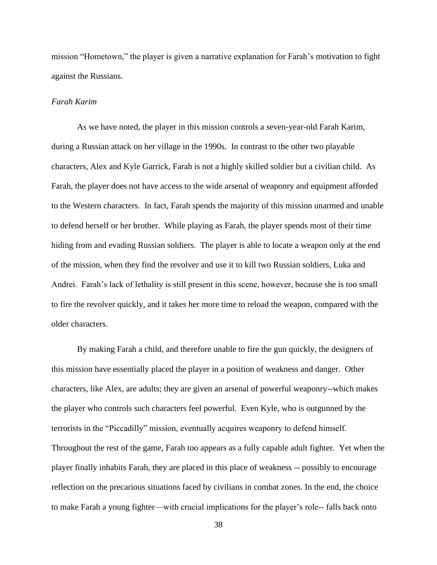mission "Hometown," the player is given a narrative explanation for Farah's motivation to fight against the Russians.

## *Farah Karim*

As we have noted, the player in this mission controls a seven-year-old Farah Karim, during a Russian attack on her village in the 1990s. In contrast to the other two playable characters, Alex and Kyle Garrick, Farah is not a highly skilled soldier but a civilian child. As Farah, the player does not have access to the wide arsenal of weaponry and equipment afforded to the Western characters. In fact, Farah spends the majority of this mission unarmed and unable to defend herself or her brother. While playing as Farah, the player spends most of their time hiding from and evading Russian soldiers. The player is able to locate a weapon only at the end of the mission, when they find the revolver and use it to kill two Russian soldiers, Luka and Andrei. Farah's lack of lethality is still present in this scene, however, because she is too small to fire the revolver quickly, and it takes her more time to reload the weapon, compared with the older characters.

By making Farah a child, and therefore unable to fire the gun quickly, the designers of this mission have essentially placed the player in a position of weakness and danger. Other characters, like Alex, are adults; they are given an arsenal of powerful weaponry--which makes the player who controls such characters feel powerful. Even Kyle, who is outgunned by the terrorists in the "Piccadilly" mission, eventually acquires weaponry to defend himself. Throughout the rest of the game, Farah too appears as a fully capable adult fighter. Yet when the player finally inhabits Farah, they are placed in this place of weakness -- possibly to encourage reflection on the precarious situations faced by civilians in combat zones. In the end, the choice to make Farah a young fighter—with crucial implications for the player's role-- falls back onto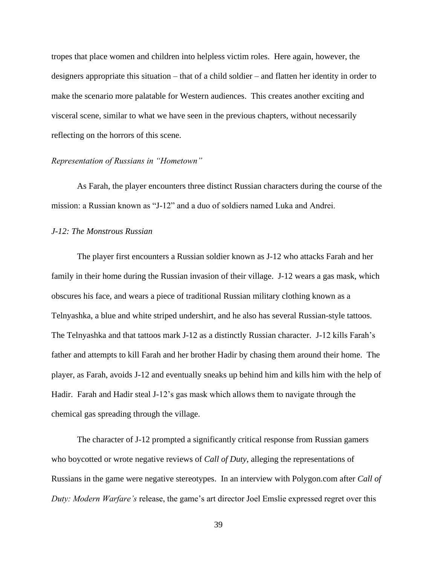tropes that place women and children into helpless victim roles. Here again, however, the designers appropriate this situation – that of a child soldier – and flatten her identity in order to make the scenario more palatable for Western audiences. This creates another exciting and visceral scene, similar to what we have seen in the previous chapters, without necessarily reflecting on the horrors of this scene.

# *Representation of Russians in "Hometown"*

As Farah, the player encounters three distinct Russian characters during the course of the mission: a Russian known as "J-12" and a duo of soldiers named Luka and Andrei.

# *J-12: The Monstrous Russian*

The player first encounters a Russian soldier known as J-12 who attacks Farah and her family in their home during the Russian invasion of their village. J-12 wears a gas mask, which obscures his face, and wears a piece of traditional Russian military clothing known as a Telnyashka, a blue and white striped undershirt, and he also has several Russian-style tattoos. The Telnyashka and that tattoos mark J-12 as a distinctly Russian character. J-12 kills Farah's father and attempts to kill Farah and her brother Hadir by chasing them around their home. The player, as Farah, avoids J-12 and eventually sneaks up behind him and kills him with the help of Hadir. Farah and Hadir steal J-12's gas mask which allows them to navigate through the chemical gas spreading through the village.

The character of J-12 prompted a significantly critical response from Russian gamers who boycotted or wrote negative reviews of *Call of Duty*, alleging the representations of Russians in the game were negative stereotypes. In an interview with Polygon.com after *Call of Duty: Modern Warfare's* release, the game's art director Joel Emslie expressed regret over this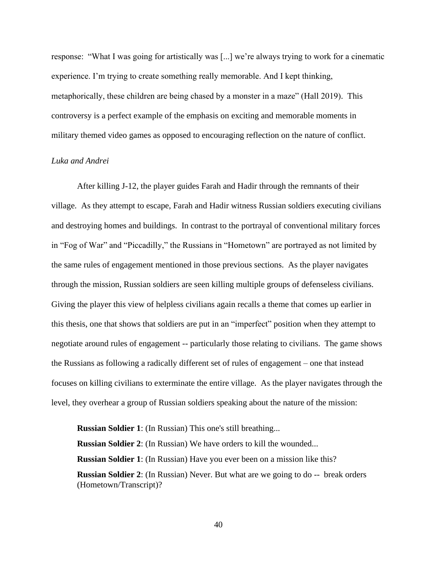response: "What I was going for artistically was [...] we're always trying to work for a cinematic experience. I'm trying to create something really memorable. And I kept thinking, metaphorically, these children are being chased by a monster in a maze" (Hall 2019). This controversy is a perfect example of the emphasis on exciting and memorable moments in military themed video games as opposed to encouraging reflection on the nature of conflict.

# *Luka and Andrei*

After killing J-12, the player guides Farah and Hadir through the remnants of their village. As they attempt to escape, Farah and Hadir witness Russian soldiers executing civilians and destroying homes and buildings. In contrast to the portrayal of conventional military forces in "Fog of War" and "Piccadilly," the Russians in "Hometown" are portrayed as not limited by the same rules of engagement mentioned in those previous sections. As the player navigates through the mission, Russian soldiers are seen killing multiple groups of defenseless civilians. Giving the player this view of helpless civilians again recalls a theme that comes up earlier in this thesis, one that shows that soldiers are put in an "imperfect" position when they attempt to negotiate around rules of engagement -- particularly those relating to civilians. The game shows the Russians as following a radically different set of rules of engagement – one that instead focuses on killing civilians to exterminate the entire village. As the player navigates through the level, they overhear a group of Russian soldiers speaking about the nature of the mission:

**Russian Soldier 1**: (In Russian) This one's still breathing... **Russian Soldier 2**: (In Russian) We have orders to kill the wounded... **Russian Soldier 1**: (In Russian) Have you ever been on a mission like this? **Russian Soldier 2**: (In Russian) Never. But what are we going to do -- break orders (Hometown/Transcript)?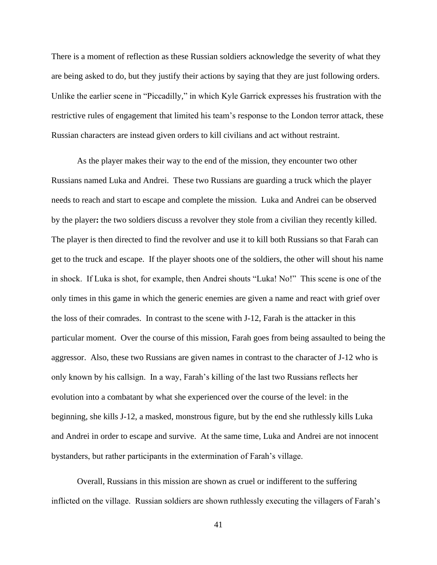There is a moment of reflection as these Russian soldiers acknowledge the severity of what they are being asked to do, but they justify their actions by saying that they are just following orders. Unlike the earlier scene in "Piccadilly," in which Kyle Garrick expresses his frustration with the restrictive rules of engagement that limited his team's response to the London terror attack, these Russian characters are instead given orders to kill civilians and act without restraint.

As the player makes their way to the end of the mission, they encounter two other Russians named Luka and Andrei. These two Russians are guarding a truck which the player needs to reach and start to escape and complete the mission. Luka and Andrei can be observed by the player**:** the two soldiers discuss a revolver they stole from a civilian they recently killed. The player is then directed to find the revolver and use it to kill both Russians so that Farah can get to the truck and escape. If the player shoots one of the soldiers, the other will shout his name in shock. If Luka is shot, for example, then Andrei shouts "Luka! No!" This scene is one of the only times in this game in which the generic enemies are given a name and react with grief over the loss of their comrades. In contrast to the scene with J-12, Farah is the attacker in this particular moment. Over the course of this mission, Farah goes from being assaulted to being the aggressor. Also, these two Russians are given names in contrast to the character of J-12 who is only known by his callsign. In a way, Farah's killing of the last two Russians reflects her evolution into a combatant by what she experienced over the course of the level: in the beginning, she kills J-12, a masked, monstrous figure, but by the end she ruthlessly kills Luka and Andrei in order to escape and survive. At the same time, Luka and Andrei are not innocent bystanders, but rather participants in the extermination of Farah's village.

Overall, Russians in this mission are shown as cruel or indifferent to the suffering inflicted on the village. Russian soldiers are shown ruthlessly executing the villagers of Farah's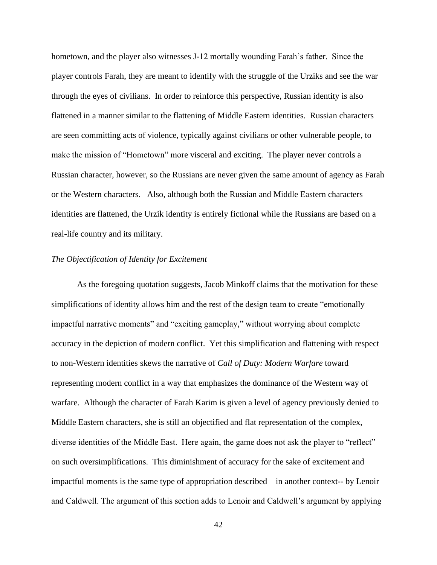hometown, and the player also witnesses J-12 mortally wounding Farah's father. Since the player controls Farah, they are meant to identify with the struggle of the Urziks and see the war through the eyes of civilians. In order to reinforce this perspective, Russian identity is also flattened in a manner similar to the flattening of Middle Eastern identities. Russian characters are seen committing acts of violence, typically against civilians or other vulnerable people, to make the mission of "Hometown" more visceral and exciting. The player never controls a Russian character, however, so the Russians are never given the same amount of agency as Farah or the Western characters. Also, although both the Russian and Middle Eastern characters identities are flattened, the Urzik identity is entirely fictional while the Russians are based on a real-life country and its military.

# *The Objectification of Identity for Excitement*

As the foregoing quotation suggests, Jacob Minkoff claims that the motivation for these simplifications of identity allows him and the rest of the design team to create "emotionally impactful narrative moments" and "exciting gameplay," without worrying about complete accuracy in the depiction of modern conflict. Yet this simplification and flattening with respect to non-Western identities skews the narrative of *Call of Duty: Modern Warfare* toward representing modern conflict in a way that emphasizes the dominance of the Western way of warfare. Although the character of Farah Karim is given a level of agency previously denied to Middle Eastern characters, she is still an objectified and flat representation of the complex, diverse identities of the Middle East. Here again, the game does not ask the player to "reflect" on such oversimplifications. This diminishment of accuracy for the sake of excitement and impactful moments is the same type of appropriation described—in another context-- by Lenoir and Caldwell. The argument of this section adds to Lenoir and Caldwell's argument by applying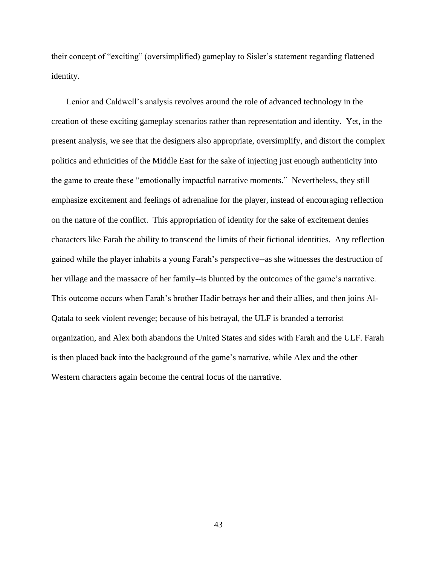their concept of "exciting" (oversimplified) gameplay to Sisler's statement regarding flattened identity.

 Lenior and Caldwell's analysis revolves around the role of advanced technology in the creation of these exciting gameplay scenarios rather than representation and identity. Yet, in the present analysis, we see that the designers also appropriate, oversimplify, and distort the complex politics and ethnicities of the Middle East for the sake of injecting just enough authenticity into the game to create these "emotionally impactful narrative moments." Nevertheless, they still emphasize excitement and feelings of adrenaline for the player, instead of encouraging reflection on the nature of the conflict. This appropriation of identity for the sake of excitement denies characters like Farah the ability to transcend the limits of their fictional identities. Any reflection gained while the player inhabits a young Farah's perspective--as she witnesses the destruction of her village and the massacre of her family--is blunted by the outcomes of the game's narrative. This outcome occurs when Farah's brother Hadir betrays her and their allies, and then joins Al-Qatala to seek violent revenge; because of his betrayal, the ULF is branded a terrorist organization, and Alex both abandons the United States and sides with Farah and the ULF. Farah is then placed back into the background of the game's narrative, while Alex and the other Western characters again become the central focus of the narrative.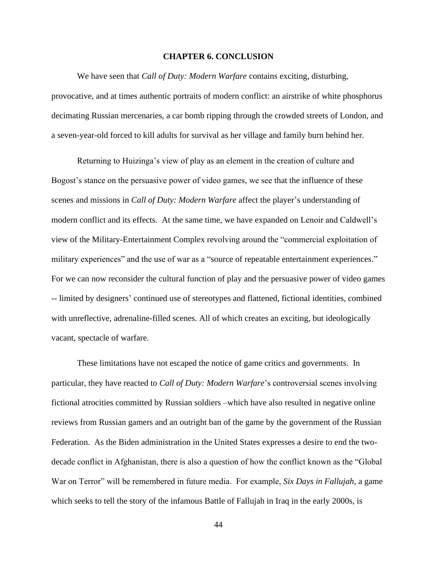#### **CHAPTER 6. CONCLUSION**

We have seen that *Call of Duty: Modern Warfare* contains exciting, disturbing, provocative, and at times authentic portraits of modern conflict: an airstrike of white phosphorus decimating Russian mercenaries, a car bomb ripping through the crowded streets of London, and a seven-year-old forced to kill adults for survival as her village and family burn behind her.

Returning to Huizinga's view of play as an element in the creation of culture and Bogost's stance on the persuasive power of video games, we see that the influence of these scenes and missions in *Call of Duty: Modern Warfare* affect the player's understanding of modern conflict and its effects. At the same time, we have expanded on Lenoir and Caldwell's view of the Military-Entertainment Complex revolving around the "commercial exploitation of military experiences" and the use of war as a "source of repeatable entertainment experiences." For we can now reconsider the cultural function of play and the persuasive power of video games -- limited by designers' continued use of stereotypes and flattened, fictional identities, combined with unreflective, adrenaline-filled scenes. All of which creates an exciting, but ideologically vacant, spectacle of warfare.

These limitations have not escaped the notice of game critics and governments. In particular, they have reacted to *Call of Duty: Modern Warfare*'s controversial scenes involving fictional atrocities committed by Russian soldiers –which have also resulted in negative online reviews from Russian gamers and an outright ban of the game by the government of the Russian Federation. As the Biden administration in the United States expresses a desire to end the twodecade conflict in Afghanistan, there is also a question of how the conflict known as the "Global War on Terror" will be remembered in future media. For example, *Six Days in Fallujah*, a game which seeks to tell the story of the infamous Battle of Fallujah in Iraq in the early 2000s, is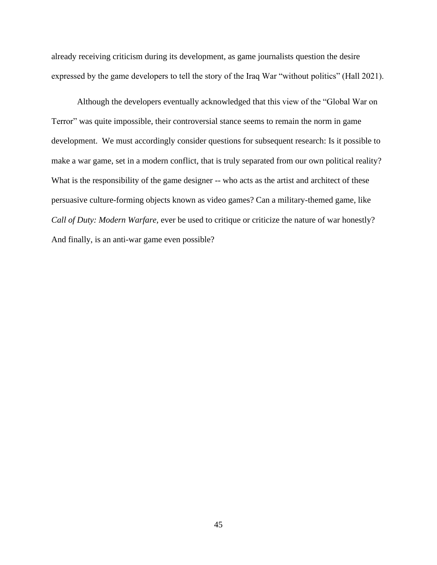already receiving criticism during its development, as game journalists question the desire expressed by the game developers to tell the story of the Iraq War "without politics" (Hall 2021).

Although the developers eventually acknowledged that this view of the "Global War on Terror" was quite impossible, their controversial stance seems to remain the norm in game development. We must accordingly consider questions for subsequent research: Is it possible to make a war game, set in a modern conflict, that is truly separated from our own political reality? What is the responsibility of the game designer -- who acts as the artist and architect of these persuasive culture-forming objects known as video games? Can a military-themed game, like *Call of Duty: Modern Warfare,* ever be used to critique or criticize the nature of war honestly? And finally, is an anti-war game even possible?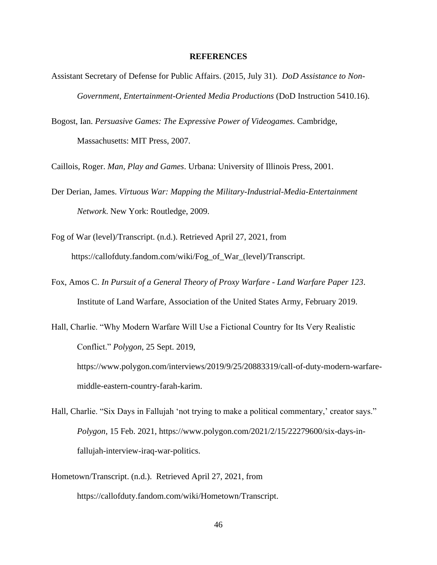#### **REFERENCES**

- Assistant Secretary of Defense for Public Affairs. (2015, July 31). *DoD Assistance to Non-Government, Entertainment-Oriented Media Productions* (DoD Instruction 5410.16).
- Bogost, Ian. *Persuasive Games: The Expressive Power of Videogames.* Cambridge, Massachusetts: MIT Press, 2007.

Caillois, Roger. *Man, Play and Games*. Urbana: University of Illinois Press, 2001.

- Der Derian, James. *Virtuous War: Mapping the Military-Industrial-Media-Entertainment Network*. New York: Routledge, 2009.
- Fog of War (level)/Transcript. (n.d.). Retrieved April 27, 2021, from https://callofduty.fandom.com/wiki/Fog\_of\_War\_(level)/Transcript.
- Fox, Amos C. *In Pursuit of a General Theory of Proxy Warfare - Land Warfare Paper 123*. Institute of Land Warfare, Association of the United States Army, February 2019.
- Hall, Charlie. "Why Modern Warfare Will Use a Fictional Country for Its Very Realistic Conflict." *Polygon*, 25 Sept. 2019, [https://www.polygon.com/interviews/2019/9/25/20883319/call-of-duty-modern-warfare](https://www.polygon.com/interviews/2019/9/25/20883319/call-of-duty-modern-warfare-middle-eastern-country-farah-karim)[middle-eastern-country-farah-karim.](https://www.polygon.com/interviews/2019/9/25/20883319/call-of-duty-modern-warfare-middle-eastern-country-farah-karim)
- Hall, Charlie. "Six Days in Fallujah 'not trying to make a political commentary,' creator says." *Polygon*, 15 Feb. 2021, [https://www.polygon.com/2021/2/15/22279600/six-days-in](https://www.polygon.com/2021/2/15/22279600/six-days-in-fallujah-interview-iraq-war-politics)[fallujah-interview-iraq-war-politics.](https://www.polygon.com/2021/2/15/22279600/six-days-in-fallujah-interview-iraq-war-politics)
- Hometown/Transcript. (n.d.). Retrieved April 27, 2021, from [https://callofduty.fandom.com/wiki/Hometown/Transcript.](https://callofduty.fandom.com/wiki/Hometown/Transcript)